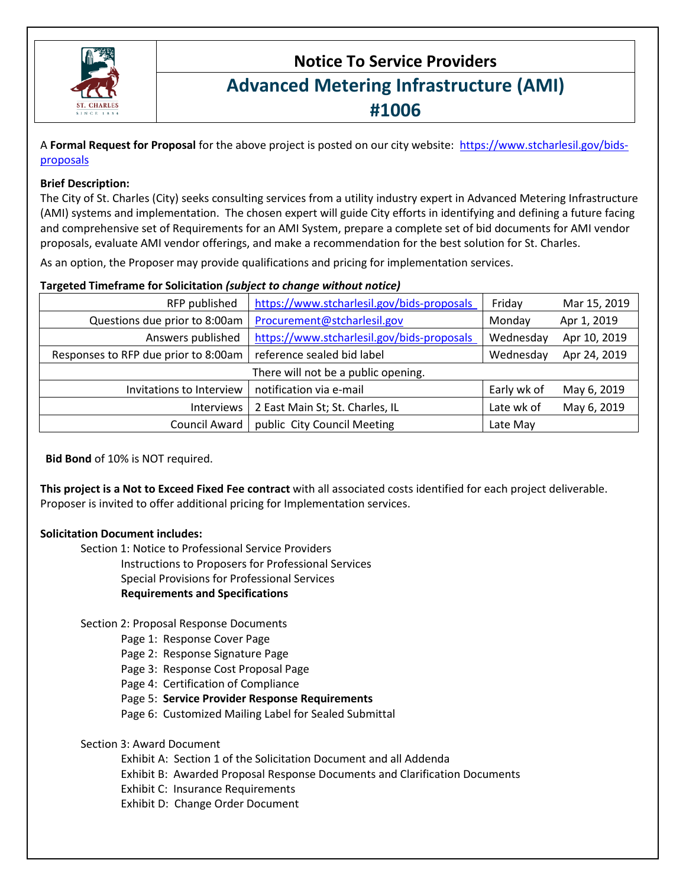

# **Notice To Service Providers Advanced Metering Infrastructure (AMI) #1006**

A **Formal Request for Proposal** for the above project is posted on our city website: https://www.stcharlesil.gov/bidsproposals

### **Brief Description:**

The City of St. Charles (City) seeks consulting services from a utility industry expert in Advanced Metering Infrastructure (AMI) systems and implementation. The chosen expert will guide City efforts in identifying and defining a future facing and comprehensive set of Requirements for an AMI System, prepare a complete set of bid documents for AMI vendor proposals, evaluate AMI vendor offerings, and make a recommendation for the best solution for St. Charles.

As an option, the Proposer may provide qualifications and pricing for implementation services.

### **Targeted Timeframe for Solicitation** *(subject to change without notice)*

| RFP published                        | https://www.stcharlesil.gov/bids-proposals | Friday      | Mar 15, 2019 |
|--------------------------------------|--------------------------------------------|-------------|--------------|
| Questions due prior to 8:00am        | Procurement@stcharlesil.gov                | Monday      | Apr 1, 2019  |
| Answers published                    | https://www.stcharlesil.gov/bids-proposals | Wednesday   | Apr 10, 2019 |
| Responses to RFP due prior to 8:00am | reference sealed bid label                 | Wednesday   | Apr 24, 2019 |
|                                      | There will not be a public opening.        |             |              |
| Invitations to Interview             | notification via e-mail                    | Early wk of | May 6, 2019  |
| Interviews                           | 2 East Main St; St. Charles, IL            | Late wk of  | May 6, 2019  |
| Council Award                        | public City Council Meeting                | Late May    |              |

**Bid Bond** of 10% is NOT required.

**This project is a Not to Exceed Fixed Fee contract** with all associated costs identified for each project deliverable. Proposer is invited to offer additional pricing for Implementation services.

# **Solicitation Document includes:**

Section 1: Notice to Professional Service Providers

Instructions to Proposers for Professional Services Special Provisions for Professional Services **Requirements and Specifications**

Section 2: Proposal Response Documents

Page 1: Response Cover Page

Page 2: Response Signature Page

Page 3: Response Cost Proposal Page

Page 4: Certification of Compliance

Page 5: **Service Provider Response Requirements**

Page 6: Customized Mailing Label for Sealed Submittal

Section 3: Award Document

Exhibit A: Section 1 of the Solicitation Document and all Addenda

Exhibit B: Awarded Proposal Response Documents and Clarification Documents

Exhibit C: Insurance Requirements

Exhibit D: Change Order Document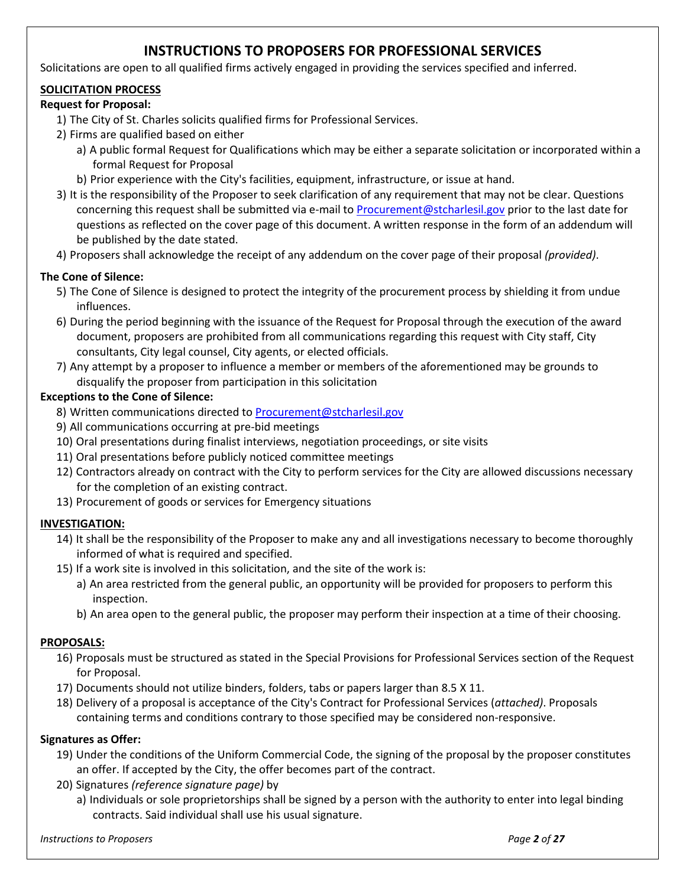# **INSTRUCTIONS TO PROPOSERS FOR PROFESSIONAL SERVICES**

Solicitations are open to all qualified firms actively engaged in providing the services specified and inferred.

# **SOLICITATION PROCESS**

# **Request for Proposal:**

- 1) The City of St. Charles solicits qualified firms for Professional Services.
- 2) Firms are qualified based on either
	- a) A public formal Request for Qualifications which may be either a separate solicitation or incorporated within a formal Request for Proposal
	- b) Prior experience with the City's facilities, equipment, infrastructure, or issue at hand.
- 3) It is the responsibility of the Proposer to seek clarification of any requirement that may not be clear. Questions concerning this request shall be submitted via e-mail t[o Procurement@stcharlesil.gov](mailto:Procurement@stcharlesil.gov) prior to the last date for questions as reflected on the cover page of this document. A written response in the form of an addendum will be published by the date stated.
- 4) Proposers shall acknowledge the receipt of any addendum on the cover page of their proposal *(provided)*.

# **The Cone of Silence:**

- 5) The Cone of Silence is designed to protect the integrity of the procurement process by shielding it from undue influences.
- 6) During the period beginning with the issuance of the Request for Proposal through the execution of the award document, proposers are prohibited from all communications regarding this request with City staff, City consultants, City legal counsel, City agents, or elected officials.
- 7) Any attempt by a proposer to influence a member or members of the aforementioned may be grounds to disqualify the proposer from participation in this solicitation

# **Exceptions to the Cone of Silence:**

- 8) Written communications directed to **Procurement@stcharlesil.gov**
- 9) All communications occurring at pre-bid meetings
- 10) Oral presentations during finalist interviews, negotiation proceedings, or site visits
- 11) Oral presentations before publicly noticed committee meetings
- 12) Contractors already on contract with the City to perform services for the City are allowed discussions necessary for the completion of an existing contract.
- 13) Procurement of goods or services for Emergency situations

# **INVESTIGATION:**

- 14) It shall be the responsibility of the Proposer to make any and all investigations necessary to become thoroughly informed of what is required and specified.
- 15) If a work site is involved in this solicitation, and the site of the work is:
	- a) An area restricted from the general public, an opportunity will be provided for proposers to perform this inspection.
	- b) An area open to the general public, the proposer may perform their inspection at a time of their choosing.

# **PROPOSALS:**

- 16) Proposals must be structured as stated in the Special Provisions for Professional Services section of the Request for Proposal.
- 17) Documents should not utilize binders, folders, tabs or papers larger than 8.5 X 11.
- 18) Delivery of a proposal is acceptance of the City's Contract for Professional Services (*attached)*. Proposals containing terms and conditions contrary to those specified may be considered non-responsive.

# **Signatures as Offer:**

- 19) Under the conditions of the Uniform Commercial Code, the signing of the proposal by the proposer constitutes an offer. If accepted by the City, the offer becomes part of the contract.
- 20) Signatures *(reference signature page)* by
	- a) Individuals or sole proprietorships shall be signed by a person with the authority to enter into legal binding contracts. Said individual shall use his usual signature.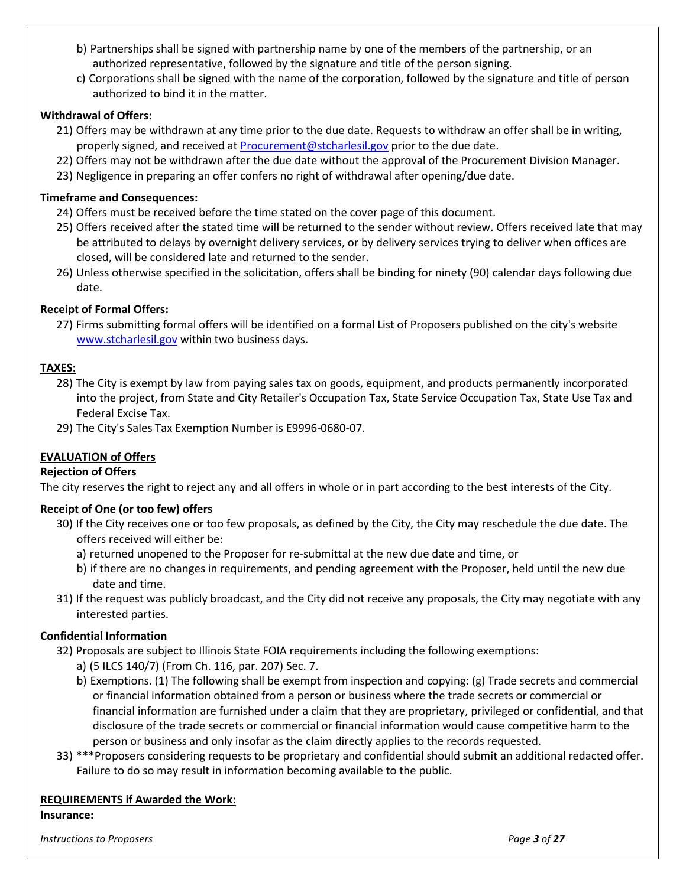- b) Partnerships shall be signed with partnership name by one of the members of the partnership, or an authorized representative, followed by the signature and title of the person signing.
- c) Corporations shall be signed with the name of the corporation, followed by the signature and title of person authorized to bind it in the matter.

### **Withdrawal of Offers:**

- 21) Offers may be withdrawn at any time prior to the due date. Requests to withdraw an offer shall be in writing, properly signed, and received a[t Procurement@stcharlesil.gov](mailto:Procurement@stcharlesil.gov) prior to the due date.
- 22) Offers may not be withdrawn after the due date without the approval of the Procurement Division Manager.
- 23) Negligence in preparing an offer confers no right of withdrawal after opening/due date.

### **Timeframe and Consequences:**

- 24) Offers must be received before the time stated on the cover page of this document.
- 25) Offers received after the stated time will be returned to the sender without review. Offers received late that may be attributed to delays by overnight delivery services, or by delivery services trying to deliver when offices are closed, will be considered late and returned to the sender.
- 26) Unless otherwise specified in the solicitation, offers shall be binding for ninety (90) calendar days following due date.

### **Receipt of Formal Offers:**

27) Firms submitting formal offers will be identified on a formal List of Proposers published on the city's website [www.stcharlesil.gov](http://www.stcharlesil.gov/) within two business days.

# **TAXES:**

- 28) The City is exempt by law from paying sales tax on goods, equipment, and products permanently incorporated into the project, from State and City Retailer's Occupation Tax, State Service Occupation Tax, State Use Tax and Federal Excise Tax.
- 29) The City's Sales Tax Exemption Number is E9996-0680-07.

# **EVALUATION of Offers**

#### **Rejection of Offers**

The city reserves the right to reject any and all offers in whole or in part according to the best interests of the City.

#### **Receipt of One (or too few) offers**

- 30) If the City receives one or too few proposals, as defined by the City, the City may reschedule the due date. The offers received will either be:
	- a) returned unopened to the Proposer for re-submittal at the new due date and time, or
	- b) if there are no changes in requirements, and pending agreement with the Proposer, held until the new due date and time.
- 31) If the request was publicly broadcast, and the City did not receive any proposals, the City may negotiate with any interested parties.

#### **Confidential Information**

- 32) Proposals are subject to Illinois State FOIA requirements including the following exemptions:
	- a) (5 ILCS 140/7) (From Ch. 116, par. 207) Sec. 7.
	- b) Exemptions. (1) The following shall be exempt from inspection and copying: (g) Trade secrets and commercial or financial information obtained from a person or business where the trade secrets or commercial or financial information are furnished under a claim that they are proprietary, privileged or confidential, and that disclosure of the trade secrets or commercial or financial information would cause competitive harm to the person or business and only insofar as the claim directly applies to the records requested.
- 33) **\*\*\***Proposers considering requests to be proprietary and confidential should submit an additional redacted offer. Failure to do so may result in information becoming available to the public.

# **REQUIREMENTS if Awarded the Work:**

#### **Insurance:**

*Instructions to Proposers Page 3 of 27*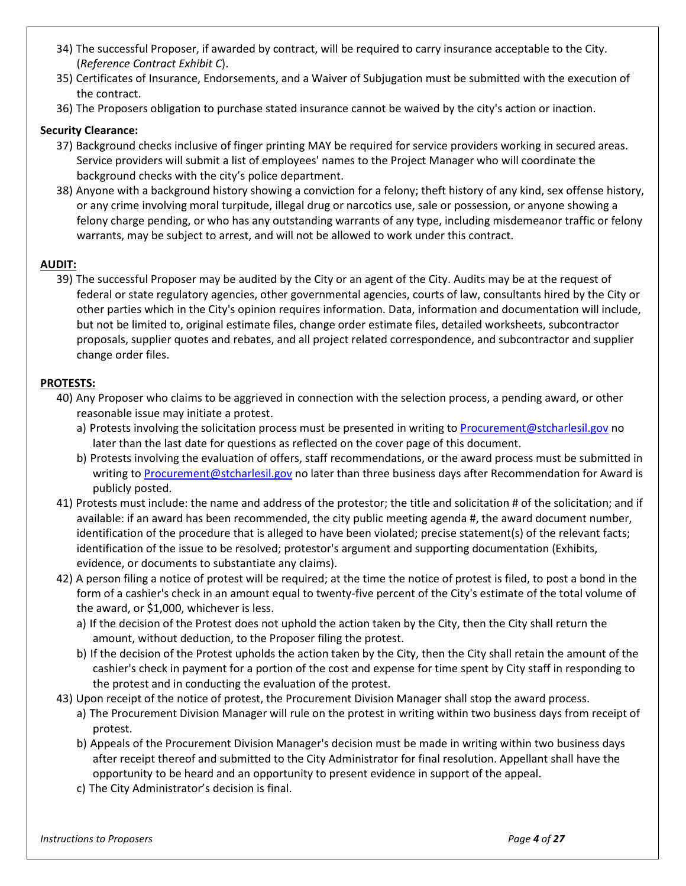- 34) The successful Proposer, if awarded by contract, will be required to carry insurance acceptable to the City. (*Reference Contract Exhibit C*).
- 35) Certificates of Insurance, Endorsements, and a Waiver of Subjugation must be submitted with the execution of the contract.
- 36) The Proposers obligation to purchase stated insurance cannot be waived by the city's action or inaction.

#### **Security Clearance:**

- 37) Background checks inclusive of finger printing MAY be required for service providers working in secured areas. Service providers will submit a list of employees' names to the Project Manager who will coordinate the background checks with the city's police department.
- 38) Anyone with a background history showing a conviction for a felony; theft history of any kind, sex offense history, or any crime involving moral turpitude, illegal drug or narcotics use, sale or possession, or anyone showing a felony charge pending, or who has any outstanding warrants of any type, including misdemeanor traffic or felony warrants, may be subject to arrest, and will not be allowed to work under this contract.

#### **AUDIT:**

39) The successful Proposer may be audited by the City or an agent of the City. Audits may be at the request of federal or state regulatory agencies, other governmental agencies, courts of law, consultants hired by the City or other parties which in the City's opinion requires information. Data, information and documentation will include, but not be limited to, original estimate files, change order estimate files, detailed worksheets, subcontractor proposals, supplier quotes and rebates, and all project related correspondence, and subcontractor and supplier change order files.

#### **PROTESTS:**

- 40) Any Proposer who claims to be aggrieved in connection with the selection process, a pending award, or other reasonable issue may initiate a protest.
	- a) Protests involving the solicitation process must be presented in writing to [Procurement@stcharlesil.gov](mailto:Procurement@stcharlesil.gov) no later than the last date for questions as reflected on the cover page of this document.
	- b) Protests involving the evaluation of offers, staff recommendations, or the award process must be submitted in writing t[o Procurement@stcharlesil.gov](mailto:Procurement@stcharlesil.gov) no later than three business days after Recommendation for Award is publicly posted.
- 41) Protests must include: the name and address of the protestor; the title and solicitation # of the solicitation; and if available: if an award has been recommended, the city public meeting agenda #, the award document number, identification of the procedure that is alleged to have been violated; precise statement(s) of the relevant facts; identification of the issue to be resolved; protestor's argument and supporting documentation (Exhibits, evidence, or documents to substantiate any claims).
- 42) A person filing a notice of protest will be required; at the time the notice of protest is filed, to post a bond in the form of a cashier's check in an amount equal to twenty-five percent of the City's estimate of the total volume of the award, or \$1,000, whichever is less.
	- a) If the decision of the Protest does not uphold the action taken by the City, then the City shall return the amount, without deduction, to the Proposer filing the protest.
	- b) If the decision of the Protest upholds the action taken by the City, then the City shall retain the amount of the cashier's check in payment for a portion of the cost and expense for time spent by City staff in responding to the protest and in conducting the evaluation of the protest.
- 43) Upon receipt of the notice of protest, the Procurement Division Manager shall stop the award process.
	- a) The Procurement Division Manager will rule on the protest in writing within two business days from receipt of protest.
	- b) Appeals of the Procurement Division Manager's decision must be made in writing within two business days after receipt thereof and submitted to the City Administrator for final resolution. Appellant shall have the opportunity to be heard and an opportunity to present evidence in support of the appeal.
	- c) The City Administrator's decision is final.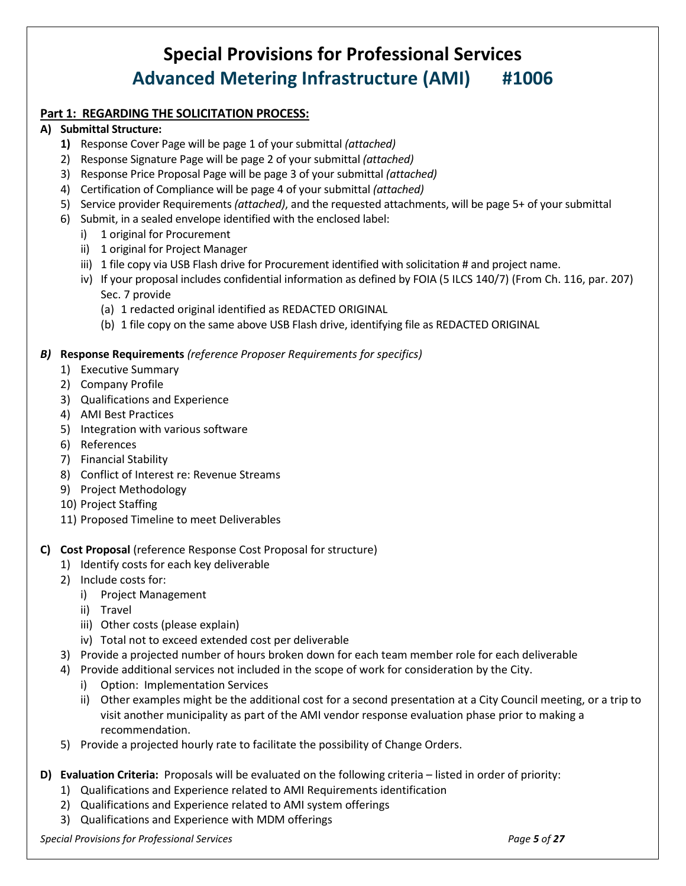# **Special Provisions for Professional Services Advanced Metering Infrastructure (AMI) #1006**

# **Part 1: REGARDING THE SOLICITATION PROCESS:**

### **A) Submittal Structure:**

- **1)** Response Cover Page will be page 1 of your submittal *(attached)*
- 2) Response Signature Page will be page 2 of your submittal *(attached)*
- 3) Response Price Proposal Page will be page 3 of your submittal *(attached)*
- 4) Certification of Compliance will be page 4 of your submittal *(attached)*
- 5) Service provider Requirements *(attached)*, and the requested attachments, will be page 5+ of your submittal
- 6) Submit, in a sealed envelope identified with the enclosed label:
	- i) 1 original for Procurement
	- ii) 1 original for Project Manager
	- iii) 1 file copy via USB Flash drive for Procurement identified with solicitation # and project name.
	- iv) If your proposal includes confidential information as defined by FOIA (5 ILCS 140/7) (From Ch. 116, par. 207) Sec. 7 provide
		- (a) 1 redacted original identified as REDACTED ORIGINAL
		- (b) 1 file copy on the same above USB Flash drive, identifying file as REDACTED ORIGINAL

### *B)* **Response Requirements** *(reference Proposer Requirements for specifics)*

- 1) Executive Summary
- 2) Company Profile
- 3) Qualifications and Experience
- 4) AMI Best Practices
- 5) Integration with various software
- 6) References
- 7) Financial Stability
- 8) Conflict of Interest re: Revenue Streams
- 9) Project Methodology
- 10) Project Staffing
- 11) Proposed Timeline to meet Deliverables

# **C) Cost Proposal** (reference Response Cost Proposal for structure)

- 1) Identify costs for each key deliverable
- 2) Include costs for:
	- i) Project Management
	- ii) Travel
	- iii) Other costs (please explain)
	- iv) Total not to exceed extended cost per deliverable
- 3) Provide a projected number of hours broken down for each team member role for each deliverable
- 4) Provide additional services not included in the scope of work for consideration by the City.
	- i) Option: Implementation Services
	- ii) Other examples might be the additional cost for a second presentation at a City Council meeting, or a trip to visit another municipality as part of the AMI vendor response evaluation phase prior to making a recommendation.
- 5) Provide a projected hourly rate to facilitate the possibility of Change Orders.
- **D) Evaluation Criteria:** Proposals will be evaluated on the following criteria listed in order of priority:
	- 1) Qualifications and Experience related to AMI Requirements identification
	- 2) Qualifications and Experience related to AMI system offerings
	- 3) Qualifications and Experience with MDM offerings

*Special Provisions for Professional Services Page 5 of 27*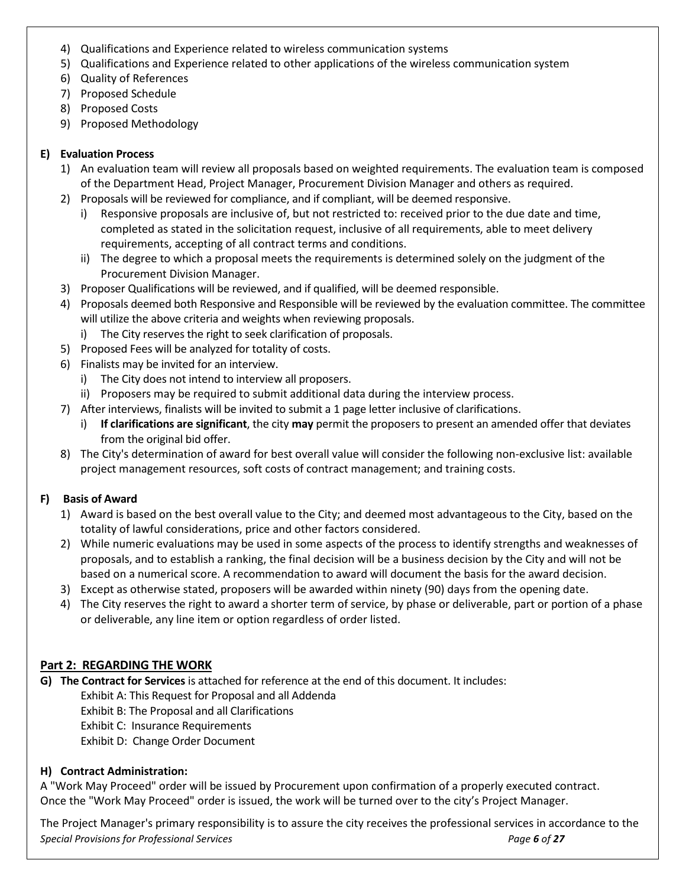- 4) Qualifications and Experience related to wireless communication systems
- 5) Qualifications and Experience related to other applications of the wireless communication system
- 6) Quality of References
- 7) Proposed Schedule
- 8) Proposed Costs
- 9) Proposed Methodology

# **E) Evaluation Process**

- 1) An evaluation team will review all proposals based on weighted requirements. The evaluation team is composed of the Department Head, Project Manager, Procurement Division Manager and others as required.
- 2) Proposals will be reviewed for compliance, and if compliant, will be deemed responsive.
	- i) Responsive proposals are inclusive of, but not restricted to: received prior to the due date and time, completed as stated in the solicitation request, inclusive of all requirements, able to meet delivery requirements, accepting of all contract terms and conditions.
	- ii) The degree to which a proposal meets the requirements is determined solely on the judgment of the Procurement Division Manager.
- 3) Proposer Qualifications will be reviewed, and if qualified, will be deemed responsible.
- 4) Proposals deemed both Responsive and Responsible will be reviewed by the evaluation committee. The committee will utilize the above criteria and weights when reviewing proposals.
	- i) The City reserves the right to seek clarification of proposals.
- 5) Proposed Fees will be analyzed for totality of costs.
- 6) Finalists may be invited for an interview.
	- i) The City does not intend to interview all proposers.
	- ii) Proposers may be required to submit additional data during the interview process.
- 7) After interviews, finalists will be invited to submit a 1 page letter inclusive of clarifications.
	- i) **If clarifications are significant**, the city **may** permit the proposers to present an amended offer that deviates from the original bid offer.
- 8) The City's determination of award for best overall value will consider the following non-exclusive list: available project management resources, soft costs of contract management; and training costs.

# **F) Basis of Award**

- 1) Award is based on the best overall value to the City; and deemed most advantageous to the City, based on the totality of lawful considerations, price and other factors considered.
- 2) While numeric evaluations may be used in some aspects of the process to identify strengths and weaknesses of proposals, and to establish a ranking, the final decision will be a business decision by the City and will not be based on a numerical score. A recommendation to award will document the basis for the award decision.
- 3) Except as otherwise stated, proposers will be awarded within ninety (90) days from the opening date.
- 4) The City reserves the right to award a shorter term of service, by phase or deliverable, part or portion of a phase or deliverable, any line item or option regardless of order listed.

# **Part 2: REGARDING THE WORK**

**G) The Contract for Services** is attached for reference at the end of this document. It includes:

Exhibit A: This Request for Proposal and all Addenda Exhibit B: The Proposal and all Clarifications

- Exhibit C: Insurance Requirements
- 
- Exhibit D: Change Order Document

# **H) Contract Administration:**

A "Work May Proceed" order will be issued by Procurement upon confirmation of a properly executed contract. Once the "Work May Proceed" order is issued, the work will be turned over to the city's Project Manager.

*Special Provisions for Professional Services Page 6 of 27* The Project Manager's primary responsibility is to assure the city receives the professional services in accordance to the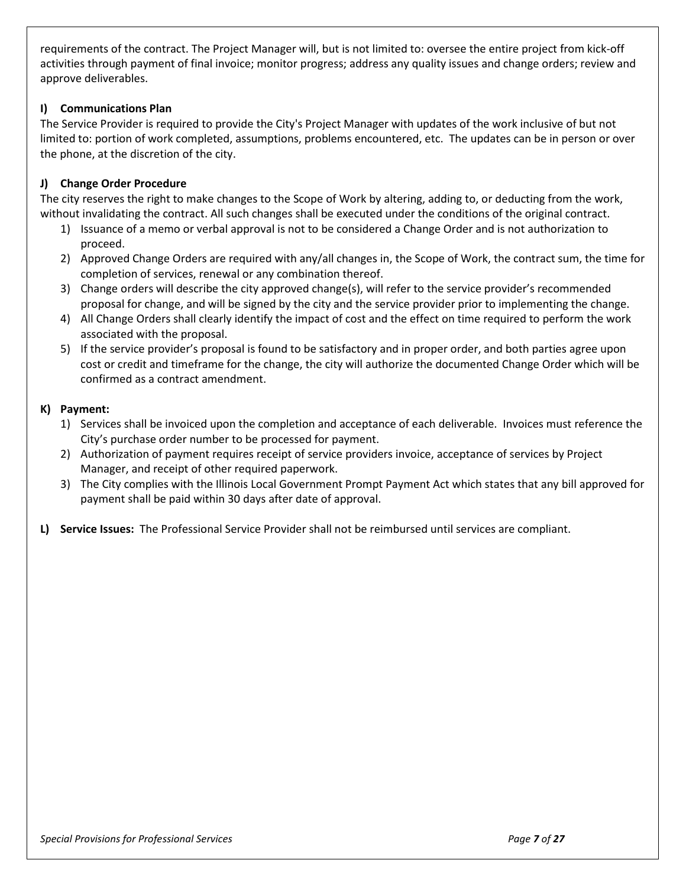requirements of the contract. The Project Manager will, but is not limited to: oversee the entire project from kick-off activities through payment of final invoice; monitor progress; address any quality issues and change orders; review and approve deliverables.

### **I) Communications Plan**

The Service Provider is required to provide the City's Project Manager with updates of the work inclusive of but not limited to: portion of work completed, assumptions, problems encountered, etc. The updates can be in person or over the phone, at the discretion of the city.

### **J) Change Order Procedure**

The city reserves the right to make changes to the Scope of Work by altering, adding to, or deducting from the work, without invalidating the contract. All such changes shall be executed under the conditions of the original contract.

- 1) Issuance of a memo or verbal approval is not to be considered a Change Order and is not authorization to proceed.
- 2) Approved Change Orders are required with any/all changes in, the Scope of Work, the contract sum, the time for completion of services, renewal or any combination thereof.
- 3) Change orders will describe the city approved change(s), will refer to the service provider's recommended proposal for change, and will be signed by the city and the service provider prior to implementing the change.
- 4) All Change Orders shall clearly identify the impact of cost and the effect on time required to perform the work associated with the proposal.
- 5) If the service provider's proposal is found to be satisfactory and in proper order, and both parties agree upon cost or credit and timeframe for the change, the city will authorize the documented Change Order which will be confirmed as a contract amendment.

#### **K) Payment:**

- 1) Services shall be invoiced upon the completion and acceptance of each deliverable. Invoices must reference the City's purchase order number to be processed for payment.
- 2) Authorization of payment requires receipt of service providers invoice, acceptance of services by Project Manager, and receipt of other required paperwork.
- 3) The City complies with the Illinois Local Government Prompt Payment Act which states that any bill approved for payment shall be paid within 30 days after date of approval.
- **L) Service Issues:** The Professional Service Provider shall not be reimbursed until services are compliant.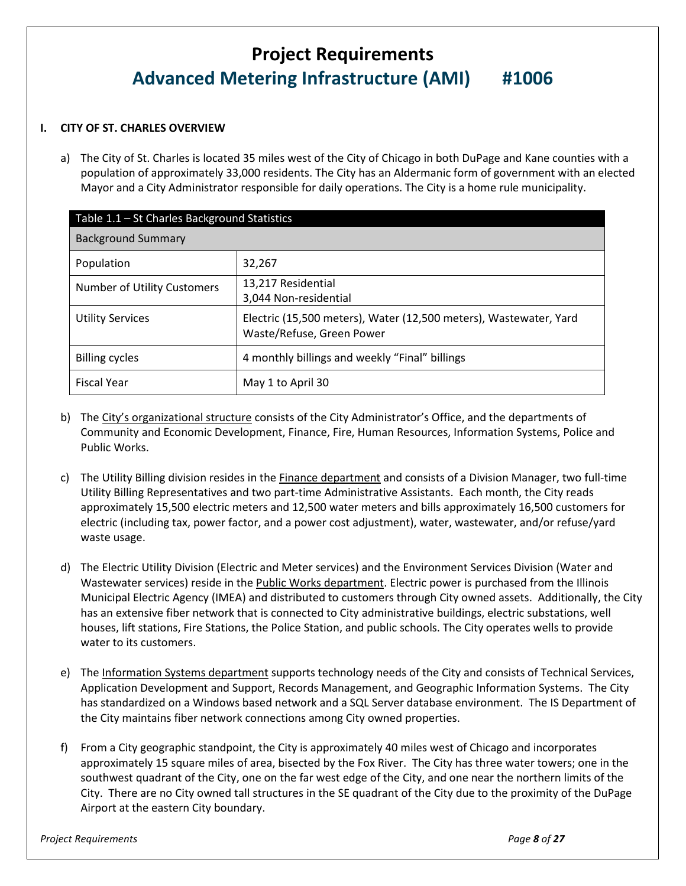# **Project Requirements Advanced Metering Infrastructure (AMI) #1006**

#### **I. CITY OF ST. CHARLES OVERVIEW**

a) The City of St. Charles is located 35 miles west of the City of Chicago in both DuPage and Kane counties with a population of approximately 33,000 residents. The City has an Aldermanic form of government with an elected Mayor and a City Administrator responsible for daily operations. The City is a home rule municipality.

| Table 1.1 - St Charles Background Statistics |                                                                                                |  |  |  |  |
|----------------------------------------------|------------------------------------------------------------------------------------------------|--|--|--|--|
| <b>Background Summary</b>                    |                                                                                                |  |  |  |  |
| Population                                   | 32,267                                                                                         |  |  |  |  |
| Number of Utility Customers                  | 13,217 Residential<br>3,044 Non-residential                                                    |  |  |  |  |
| <b>Utility Services</b>                      | Electric (15,500 meters), Water (12,500 meters), Wastewater, Yard<br>Waste/Refuse, Green Power |  |  |  |  |
| <b>Billing cycles</b>                        | 4 monthly billings and weekly "Final" billings                                                 |  |  |  |  |
| <b>Fiscal Year</b>                           | May 1 to April 30                                                                              |  |  |  |  |

- b) The [City's organizational structure](https://www.stcharlesil.gov/sites/default/files/business/2197-11001.pdf) consists of the City Administrator's Office, and the departments of Community and Economic Development, Finance, Fire, Human Resources, Information Systems, Police and Public Works.
- c) The Utility Billing division resides in the **Finance department** and consists of a Division Manager, two full-time Utility Billing Representatives and two part-time Administrative Assistants. Each month, the City reads approximately 15,500 electric meters and 12,500 water meters and bills approximately 16,500 customers for electric (including tax, power factor, and a power cost adjustment), water, wastewater, and/or refuse/yard waste usage.
- d) The Electric Utility Division (Electric and Meter services) and the Environment Services Division (Water and Wastewater services) reside in th[e Public Works department.](https://www.stcharlesil.gov/sites/default/files/documents/PublicWorks.pdf) Electric power is purchased from the Illinois Municipal Electric Agency (IMEA) and distributed to customers through City owned assets. Additionally, the City has an extensive fiber network that is connected to City administrative buildings, electric substations, well houses, lift stations, Fire Stations, the Police Station, and public schools. The City operates wells to provide water to its customers.
- e) The [Information Systems department](https://www.stcharlesil.gov/sites/default/files/business/2197-9538.pdf) supports technology needs of the City and consists of Technical Services, Application Development and Support, Records Management, and Geographic Information Systems. The City has standardized on a Windows based network and a SQL Server database environment. The IS Department of the City maintains fiber network connections among City owned properties.
- f) From a City geographic standpoint, the City is approximately 40 miles west of Chicago and incorporates approximately 15 square miles of area, bisected by the Fox River. The City has three water towers; one in the southwest quadrant of the City, one on the far west edge of the City, and one near the northern limits of the City. There are no City owned tall structures in the SE quadrant of the City due to the proximity of the DuPage Airport at the eastern City boundary.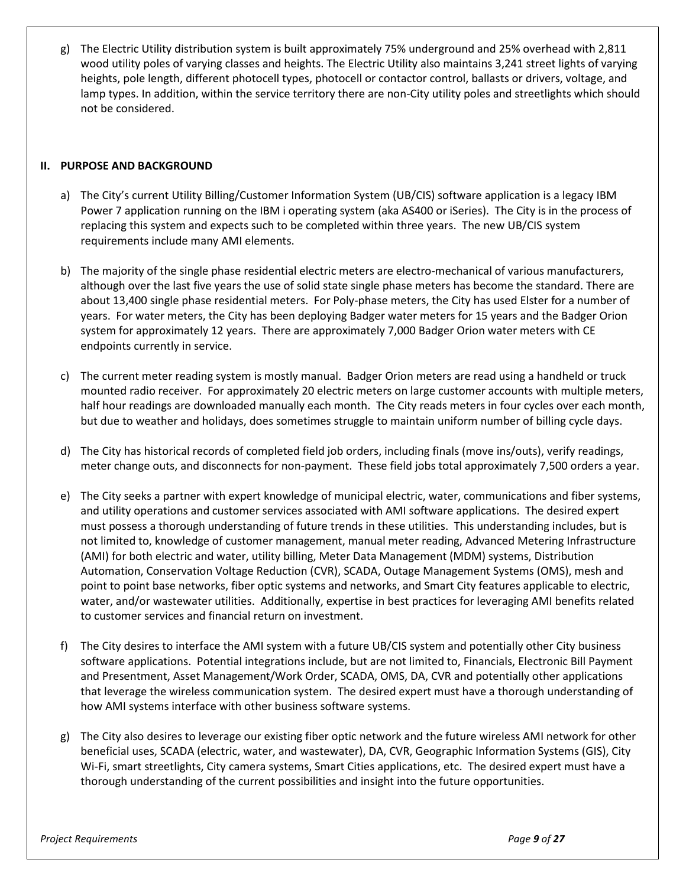g) The Electric Utility distribution system is built approximately 75% underground and 25% overhead with 2,811 wood utility poles of varying classes and heights. The Electric Utility also maintains 3,241 street lights of varying heights, pole length, different photocell types, photocell or contactor control, ballasts or drivers, voltage, and lamp types. In addition, within the service territory there are non-City utility poles and streetlights which should not be considered.

#### **II. PURPOSE AND BACKGROUND**

- a) The City's current Utility Billing/Customer Information System (UB/CIS) software application is a legacy IBM Power 7 application running on the IBM i operating system (aka AS400 or iSeries). The City is in the process of replacing this system and expects such to be completed within three years. The new UB/CIS system requirements include many AMI elements.
- b) The majority of the single phase residential electric meters are electro-mechanical of various manufacturers, although over the last five years the use of solid state single phase meters has become the standard. There are about 13,400 single phase residential meters. For Poly-phase meters, the City has used Elster for a number of years. For water meters, the City has been deploying Badger water meters for 15 years and the Badger Orion system for approximately 12 years. There are approximately 7,000 Badger Orion water meters with CE endpoints currently in service.
- c) The current meter reading system is mostly manual. Badger Orion meters are read using a handheld or truck mounted radio receiver. For approximately 20 electric meters on large customer accounts with multiple meters, half hour readings are downloaded manually each month. The City reads meters in four cycles over each month, but due to weather and holidays, does sometimes struggle to maintain uniform number of billing cycle days.
- d) The City has historical records of completed field job orders, including finals (move ins/outs), verify readings, meter change outs, and disconnects for non-payment. These field jobs total approximately 7,500 orders a year.
- e) The City seeks a partner with expert knowledge of municipal electric, water, communications and fiber systems, and utility operations and customer services associated with AMI software applications. The desired expert must possess a thorough understanding of future trends in these utilities. This understanding includes, but is not limited to, knowledge of customer management, manual meter reading, Advanced Metering Infrastructure (AMI) for both electric and water, utility billing, Meter Data Management (MDM) systems, Distribution Automation, Conservation Voltage Reduction (CVR), SCADA, Outage Management Systems (OMS), mesh and point to point base networks, fiber optic systems and networks, and Smart City features applicable to electric, water, and/or wastewater utilities. Additionally, expertise in best practices for leveraging AMI benefits related to customer services and financial return on investment.
- f) The City desires to interface the AMI system with a future UB/CIS system and potentially other City business software applications. Potential integrations include, but are not limited to, Financials, Electronic Bill Payment and Presentment, Asset Management/Work Order, SCADA, OMS, DA, CVR and potentially other applications that leverage the wireless communication system. The desired expert must have a thorough understanding of how AMI systems interface with other business software systems.
- g) The City also desires to leverage our existing fiber optic network and the future wireless AMI network for other beneficial uses, SCADA (electric, water, and wastewater), DA, CVR, Geographic Information Systems (GIS), City Wi-Fi, smart streetlights, City camera systems, Smart Cities applications, etc. The desired expert must have a thorough understanding of the current possibilities and insight into the future opportunities.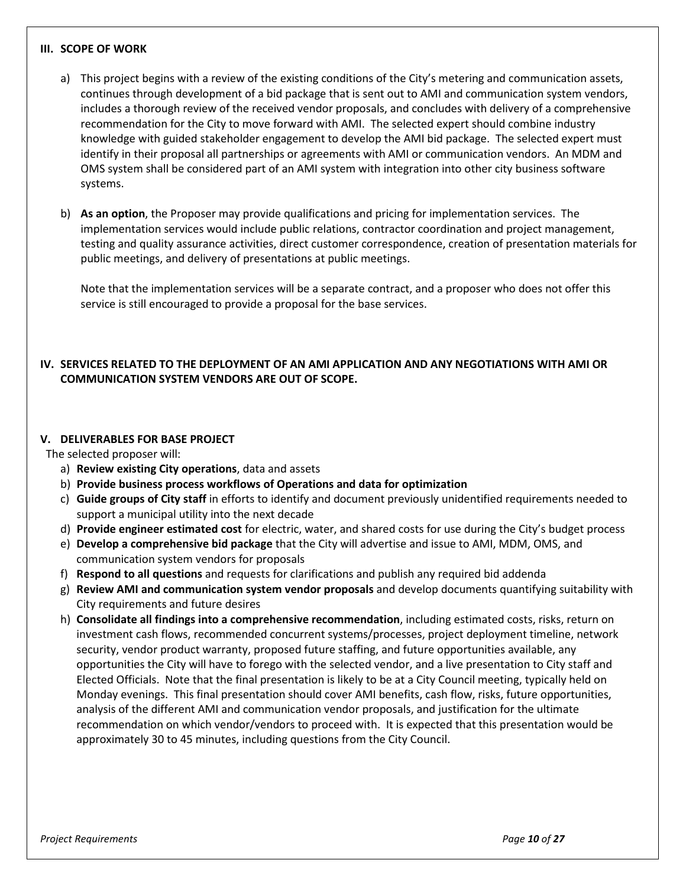#### **III. SCOPE OF WORK**

- a) This project begins with a review of the existing conditions of the City's metering and communication assets, continues through development of a bid package that is sent out to AMI and communication system vendors, includes a thorough review of the received vendor proposals, and concludes with delivery of a comprehensive recommendation for the City to move forward with AMI. The selected expert should combine industry knowledge with guided stakeholder engagement to develop the AMI bid package. The selected expert must identify in their proposal all partnerships or agreements with AMI or communication vendors. An MDM and OMS system shall be considered part of an AMI system with integration into other city business software systems.
- b) **As an option**, the Proposer may provide qualifications and pricing for implementation services. The implementation services would include public relations, contractor coordination and project management, testing and quality assurance activities, direct customer correspondence, creation of presentation materials for public meetings, and delivery of presentations at public meetings.

Note that the implementation services will be a separate contract, and a proposer who does not offer this service is still encouraged to provide a proposal for the base services.

### **IV. SERVICES RELATED TO THE DEPLOYMENT OF AN AMI APPLICATION AND ANY NEGOTIATIONS WITH AMI OR COMMUNICATION SYSTEM VENDORS ARE OUT OF SCOPE.**

#### **V. DELIVERABLES FOR BASE PROJECT**

The selected proposer will:

- a) **Review existing City operations**, data and assets
- b) **Provide business process workflows of Operations and data for optimization**
- c) **Guide groups of City staff** in efforts to identify and document previously unidentified requirements needed to support a municipal utility into the next decade
- d) **Provide engineer estimated cost** for electric, water, and shared costs for use during the City's budget process
- e) **Develop a comprehensive bid package** that the City will advertise and issue to AMI, MDM, OMS, and communication system vendors for proposals
- f) **Respond to all questions** and requests for clarifications and publish any required bid addenda
- g) **Review AMI and communication system vendor proposals** and develop documents quantifying suitability with City requirements and future desires
- h) **Consolidate all findings into a comprehensive recommendation**, including estimated costs, risks, return on investment cash flows, recommended concurrent systems/processes, project deployment timeline, network security, vendor product warranty, proposed future staffing, and future opportunities available, any opportunities the City will have to forego with the selected vendor, and a live presentation to City staff and Elected Officials. Note that the final presentation is likely to be at a City Council meeting, typically held on Monday evenings. This final presentation should cover AMI benefits, cash flow, risks, future opportunities, analysis of the different AMI and communication vendor proposals, and justification for the ultimate recommendation on which vendor/vendors to proceed with. It is expected that this presentation would be approximately 30 to 45 minutes, including questions from the City Council.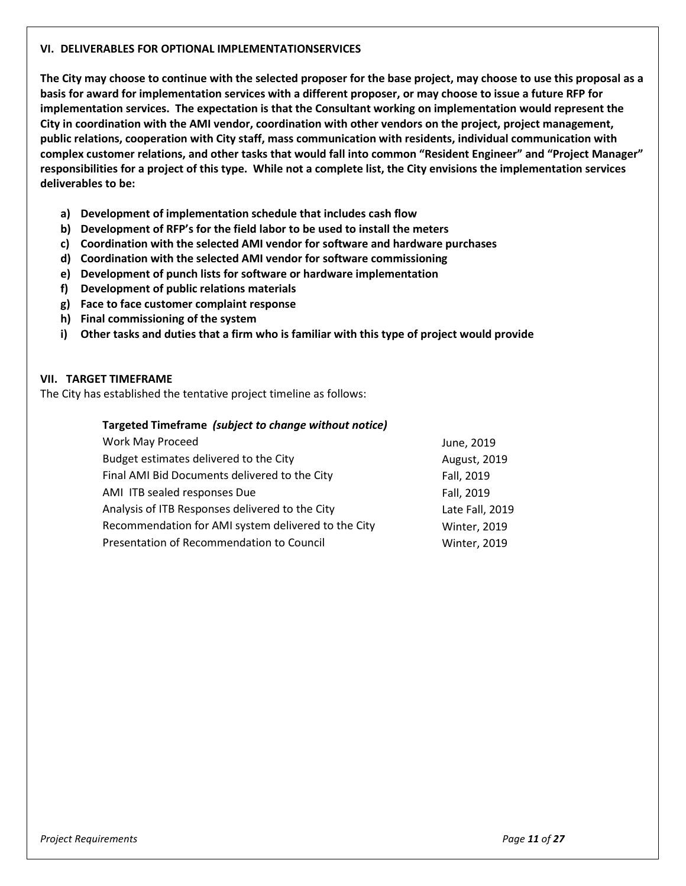#### **VI. DELIVERABLES FOR OPTIONAL IMPLEMENTATIONSERVICES**

**The City may choose to continue with the selected proposer for the base project, may choose to use this proposal as a basis for award for implementation services with a different proposer, or may choose to issue a future RFP for implementation services. The expectation is that the Consultant working on implementation would represent the City in coordination with the AMI vendor, coordination with other vendors on the project, project management, public relations, cooperation with City staff, mass communication with residents, individual communication with complex customer relations, and other tasks that would fall into common "Resident Engineer" and "Project Manager" responsibilities for a project of this type. While not a complete list, the City envisions the implementation services deliverables to be:**

- **a) Development of implementation schedule that includes cash flow**
- **b) Development of RFP's for the field labor to be used to install the meters**
- **c) Coordination with the selected AMI vendor for software and hardware purchases**
- **d) Coordination with the selected AMI vendor for software commissioning**
- **e) Development of punch lists for software or hardware implementation**
- **f) Development of public relations materials**
- **g) Face to face customer complaint response**
- **h) Final commissioning of the system**
- **i) Other tasks and duties that a firm who is familiar with this type of project would provide**

#### **VII. TARGET TIMEFRAME**

The City has established the tentative project timeline as follows:

#### **Targeted Timeframe** *(subject to change without notice)*

| Work May Proceed                                    | June, 2019          |
|-----------------------------------------------------|---------------------|
| Budget estimates delivered to the City              | August, 2019        |
| Final AMI Bid Documents delivered to the City       | Fall, 2019          |
| AMI ITB sealed responses Due                        | Fall, 2019          |
| Analysis of ITB Responses delivered to the City     | Late Fall, 2019     |
| Recommendation for AMI system delivered to the City | <b>Winter, 2019</b> |
| Presentation of Recommendation to Council           | <b>Winter, 2019</b> |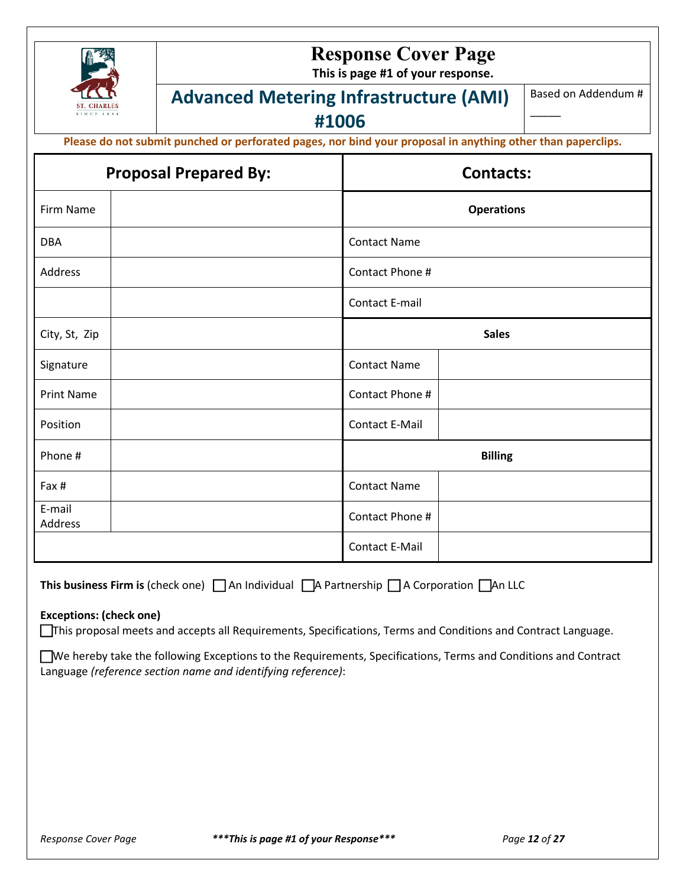

# **Response Cover Page**

**This is page #1 of your response.**

# **Advanced Metering Infrastructure (AMI)**

Based on Addendum #

 $\overline{\phantom{a}}$ 

**#1006**

**Please do not submit punched or perforated pages, nor bind your proposal in anything other than paperclips.**

| <b>Proposal Prepared By:</b> | <b>Contacts:</b>      |
|------------------------------|-----------------------|
| Firm Name                    | <b>Operations</b>     |
| DBA                          | <b>Contact Name</b>   |
| Address                      | Contact Phone #       |
|                              | <b>Contact E-mail</b> |
| City, St, Zip                | <b>Sales</b>          |
| Signature                    | <b>Contact Name</b>   |
| <b>Print Name</b>            | Contact Phone #       |
| Position                     | Contact E-Mail        |
| Phone #                      | <b>Billing</b>        |
| Fax #                        | <b>Contact Name</b>   |
| E-mail<br>Address            | Contact Phone #       |
|                              | Contact E-Mail        |

**This business Firm is** (check one)  $\Box$  An Individual  $\Box$  A Partnership  $\Box$  A Corporation  $\Box$  An LLC

#### **Exceptions: (check one)**

This proposal meets and accepts all Requirements, Specifications, Terms and Conditions and Contract Language.

We hereby take the following Exceptions to the Requirements, Specifications, Terms and Conditions and Contract Language *(reference section name and identifying reference)*: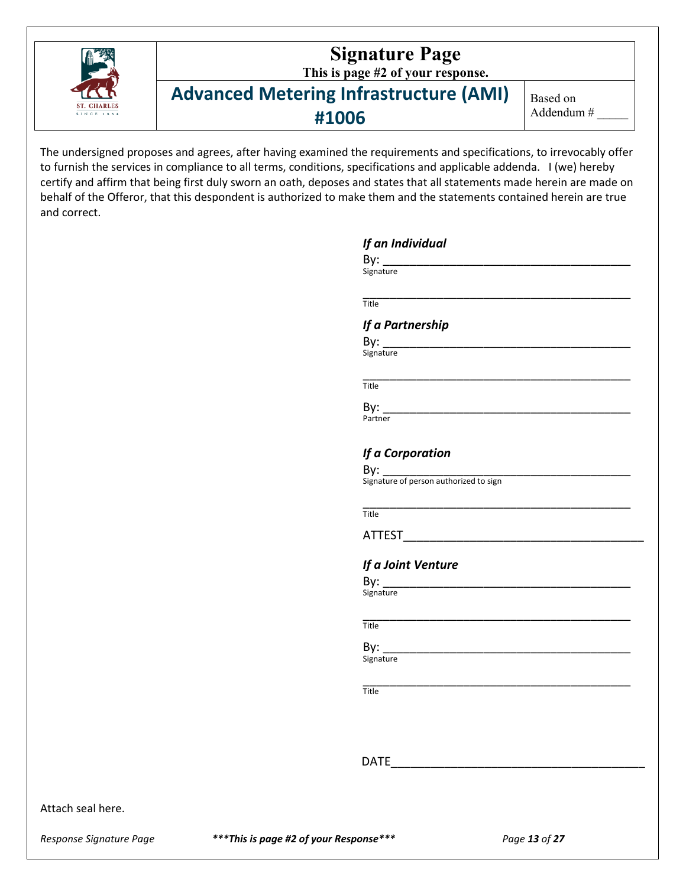

The undersigned proposes and agrees, after having examined the requirements and specifications, to irrevocably offer to furnish the services in compliance to all terms, conditions, specifications and applicable addenda. I (we) hereby certify and affirm that being first duly sworn an oath, deposes and states that all statements made herein are made on behalf of the Offeror, that this despondent is authorized to make them and the statements contained herein are true and correct.

| Title              |                                                                                                                      |  |
|--------------------|----------------------------------------------------------------------------------------------------------------------|--|
| If a Partnership   |                                                                                                                      |  |
| By: _____________  |                                                                                                                      |  |
| Signature          |                                                                                                                      |  |
| Title              |                                                                                                                      |  |
| By:                |                                                                                                                      |  |
| Partner            |                                                                                                                      |  |
| If a Corporation   |                                                                                                                      |  |
| By:                |                                                                                                                      |  |
|                    | Signature of person authorized to sign                                                                               |  |
| Title              |                                                                                                                      |  |
|                    |                                                                                                                      |  |
| If a Joint Venture |                                                                                                                      |  |
| By:                |                                                                                                                      |  |
| Signature          |                                                                                                                      |  |
| Title              |                                                                                                                      |  |
| By:                | <u> 2002 - Jan James James Jan James James James James James James James James James James James James James Jam</u> |  |
| Signature          |                                                                                                                      |  |
| Title              |                                                                                                                      |  |
|                    |                                                                                                                      |  |
|                    |                                                                                                                      |  |
|                    | DATE ____________                                                                                                    |  |

*Response Signature Page \*\*\*This is page #2 of your Response\*\*\* Page 13 of 27*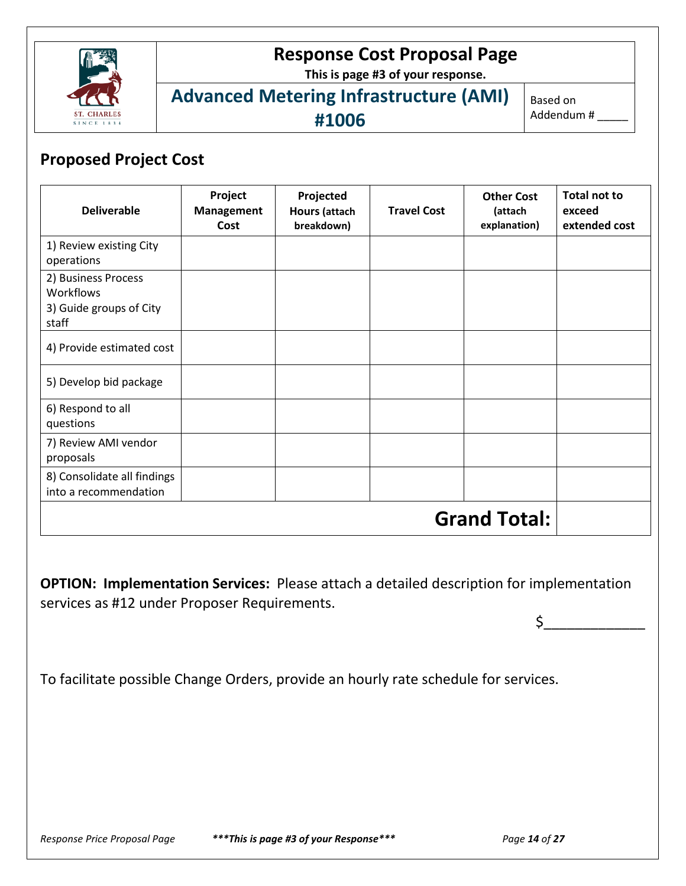

# **Response Cost Proposal Page**

**This is page #3 of your response.**

# **Advanced Metering Infrastructure (AMI) #1006**

Based on Addendum # \_\_\_\_\_

# **Proposed Project Cost**

| <b>Deliverable</b>                                                   | Project<br>Management<br>Cost | Projected<br><b>Hours (attach</b><br>breakdown) | <b>Travel Cost</b> | <b>Other Cost</b><br>(attach<br>explanation) | <b>Total not to</b><br>exceed<br>extended cost |
|----------------------------------------------------------------------|-------------------------------|-------------------------------------------------|--------------------|----------------------------------------------|------------------------------------------------|
| 1) Review existing City<br>operations                                |                               |                                                 |                    |                                              |                                                |
| 2) Business Process<br>Workflows<br>3) Guide groups of City<br>staff |                               |                                                 |                    |                                              |                                                |
| 4) Provide estimated cost                                            |                               |                                                 |                    |                                              |                                                |
| 5) Develop bid package                                               |                               |                                                 |                    |                                              |                                                |
| 6) Respond to all<br>questions                                       |                               |                                                 |                    |                                              |                                                |
| 7) Review AMI vendor<br>proposals                                    |                               |                                                 |                    |                                              |                                                |
| 8) Consolidate all findings<br>into a recommendation                 |                               |                                                 |                    |                                              |                                                |
|                                                                      |                               |                                                 |                    | <b>Grand Total:</b>                          |                                                |

**OPTION: Implementation Services:** Please attach a detailed description for implementation services as #12 under Proposer Requirements.

To facilitate possible Change Orders, provide an hourly rate schedule for services.

 $\mathsf{\mathop{S_{\rule{3pt}{2pt}}}}$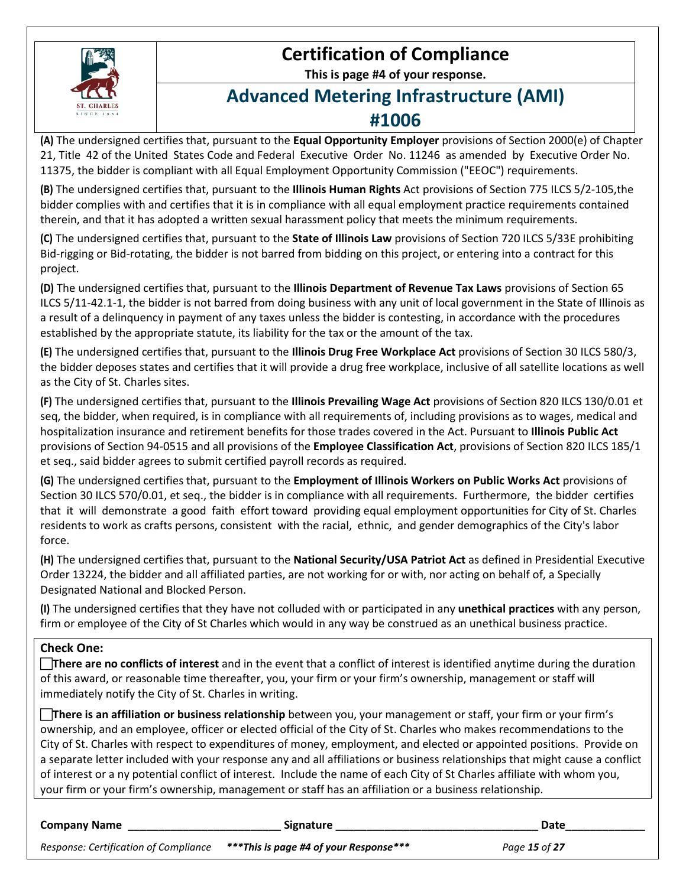

# **Certification of Compliance**

**This is page #4 of your response.**

# **Advanced Metering Infrastructure (AMI) #1006**

**(A)** The undersigned certifies that, pursuant to the **Equal Opportunity Employer** provisions of Section 2000(e) of Chapter 21, Title 42 of the United States Code and Federal Executive Order No. 11246 as amended by Executive Order No. 11375, the bidder is compliant with all Equal Employment Opportunity Commission ("EEOC") requirements.

**(B)** The undersigned certifies that, pursuant to the **Illinois Human Rights** Act provisions of Section 775 ILCS 5/2-105,the bidder complies with and certifies that it is in compliance with all equal employment practice requirements contained therein, and that it has adopted a written sexual harassment policy that meets the minimum requirements.

**(C)** The undersigned certifies that, pursuant to the **State of Illinois Law** provisions of Section 720 ILCS 5/33E prohibiting Bid-rigging or Bid-rotating, the bidder is not barred from bidding on this project, or entering into a contract for this project.

**(D)** The undersigned certifies that, pursuant to the **Illinois Department of Revenue Tax Laws** provisions of Section 65 ILCS 5/11-42.1-1, the bidder is not barred from doing business with any unit of local government in the State of Illinois as a result of a delinquency in payment of any taxes unless the bidder is contesting, in accordance with the procedures established by the appropriate statute, its liability for the tax or the amount of the tax.

**(E)** The undersigned certifies that, pursuant to the **Illinois Drug Free Workplace Act** provisions of Section 30 ILCS 580/3, the bidder deposes states and certifies that it will provide a drug free workplace, inclusive of all satellite locations as well as the City of St. Charles sites.

**(F)** The undersigned certifies that, pursuant to the **Illinois Prevailing Wage Act** provisions of Section 820 ILCS 130/0.01 et seq, the bidder, when required, is in compliance with all requirements of, including provisions as to wages, medical and hospitalization insurance and retirement benefits for those trades covered in the Act. Pursuant to **Illinois Public Act** provisions of Section 94-0515 and all provisions of the **Employee Classification Act**, provisions of Section 820 ILCS 185/1 et seq., said bidder agrees to submit certified payroll records as required.

**(G)** The undersigned certifies that, pursuant to the **Employment of Illinois Workers on Public Works Act** provisions of Section 30 ILCS 570/0.01, et seq., the bidder is in compliance with all requirements. Furthermore, the bidder certifies that it will demonstrate a good faith effort toward providing equal employment opportunities for City of St. Charles residents to work as crafts persons, consistent with the racial, ethnic, and gender demographics of the City's labor force.

**(H)** The undersigned certifies that, pursuant to the **National Security/USA Patriot Act** as defined in Presidential Executive Order 13224, the bidder and all affiliated parties, are not working for or with, nor acting on behalf of, a Specially Designated National and Blocked Person.

**(I)** The undersigned certifies that they have not colluded with or participated in any **unethical practices** with any person, firm or employee of the City of St Charles which would in any way be construed as an unethical business practice.

# **Check One:**

**There are no conflicts of interest** and in the event that a conflict of interest is identified anytime during the duration of this award, or reasonable time thereafter, you, your firm or your firm's ownership, management or staff will immediately notify the City of St. Charles in writing.

**There is an affiliation or business relationship** between you, your management or staff, your firm or your firm's ownership, and an employee, officer or elected official of the City of St. Charles who makes recommendations to the City of St. Charles with respect to expenditures of money, employment, and elected or appointed positions. Provide on a separate letter included with your response any and all affiliations or business relationships that might cause a conflict of interest or a ny potential conflict of interest. Include the name of each City of St Charles affiliate with whom you, your firm or your firm's ownership, management or staff has an affiliation or a business relationship.

| <b>Company Name</b>                   | Signature                              | Date          |
|---------------------------------------|----------------------------------------|---------------|
| Response: Certification of Compliance | ***This is page #4 of your Response*** | Page 15 of 27 |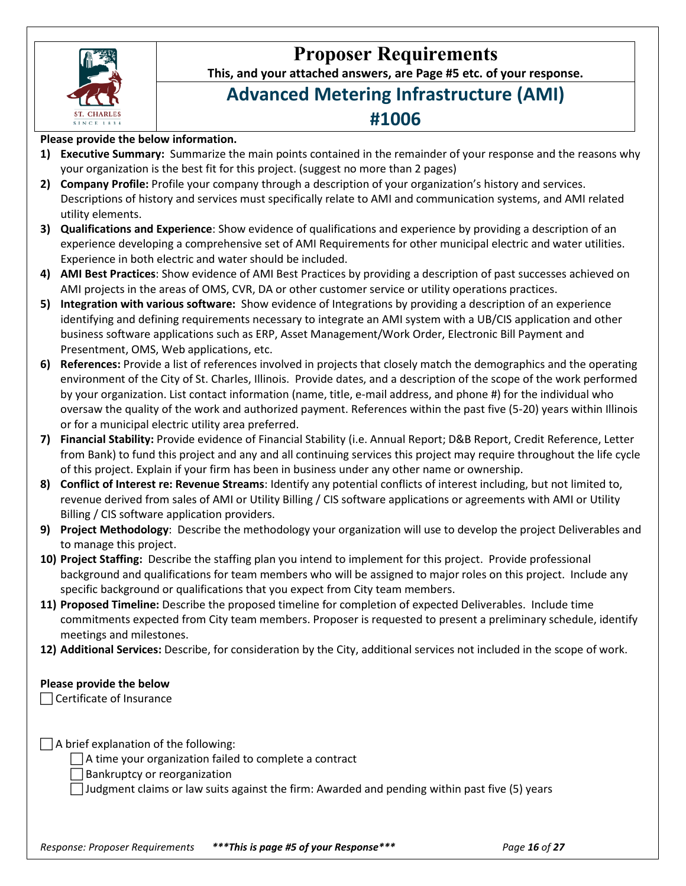

# **Proposer Requirements**

**This, and your attached answers, are Page #5 etc. of your response.**

# **Advanced Metering Infrastructure (AMI) #1006**

# **Please provide the below information.**

- **1) Executive Summary:** Summarize the main points contained in the remainder of your response and the reasons why your organization is the best fit for this project. (suggest no more than 2 pages)
- **2) Company Profile:** Profile your company through a description of your organization's history and services. Descriptions of history and services must specifically relate to AMI and communication systems, and AMI related utility elements.
- **3) Qualifications and Experience**: Show evidence of qualifications and experience by providing a description of an experience developing a comprehensive set of AMI Requirements for other municipal electric and water utilities. Experience in both electric and water should be included.
- **4) AMI Best Practices**: Show evidence of AMI Best Practices by providing a description of past successes achieved on AMI projects in the areas of OMS, CVR, DA or other customer service or utility operations practices.
- **5) Integration with various software:** Show evidence of Integrations by providing a description of an experience identifying and defining requirements necessary to integrate an AMI system with a UB/CIS application and other business software applications such as ERP, Asset Management/Work Order, Electronic Bill Payment and Presentment, OMS, Web applications, etc.
- **6) References:** Provide a list of references involved in projects that closely match the demographics and the operating environment of the City of St. Charles, Illinois. Provide dates, and a description of the scope of the work performed by your organization. List contact information (name, title, e-mail address, and phone #) for the individual who oversaw the quality of the work and authorized payment. References within the past five (5-20) years within Illinois or for a municipal electric utility area preferred.
- **7) Financial Stability:** Provide evidence of Financial Stability (i.e. Annual Report; D&B Report, Credit Reference, Letter from Bank) to fund this project and any and all continuing services this project may require throughout the life cycle of this project. Explain if your firm has been in business under any other name or ownership.
- **8) Conflict of Interest re: Revenue Streams**: Identify any potential conflicts of interest including, but not limited to, revenue derived from sales of AMI or Utility Billing / CIS software applications or agreements with AMI or Utility Billing / CIS software application providers.
- **9) Project Methodology**: Describe the methodology your organization will use to develop the project Deliverables and to manage this project.
- **10) Project Staffing:** Describe the staffing plan you intend to implement for this project. Provide professional background and qualifications for team members who will be assigned to major roles on this project. Include any specific background or qualifications that you expect from City team members.
- **11) Proposed Timeline:** Describe the proposed timeline for completion of expected Deliverables. Include time commitments expected from City team members. Proposer is requested to present a preliminary schedule, identify meetings and milestones.
- **12) Additional Services:** Describe, for consideration by the City, additional services not included in the scope of work.

# **Please provide the below**

Certificate of Insurance

 $\Box$  A brief explanation of the following:

 $\Box$  A time your organization failed to complete a contract

Bankruptcy or reorganization

Judgment claims or law suits against the firm: Awarded and pending within past five (5) years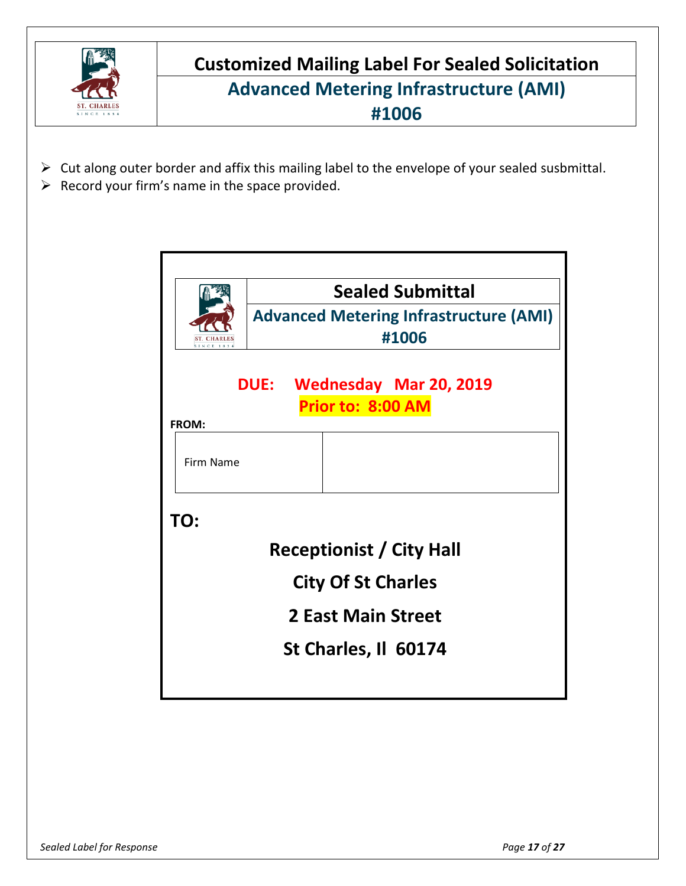

**Customized Mailing Label For Sealed Solicitation Advanced Metering Infrastructure (AMI) #1006**

- $\triangleright$  Cut along outer border and affix this mailing label to the envelope of your sealed susbmittal.
- $\triangleright$  Record your firm's name in the space provided.

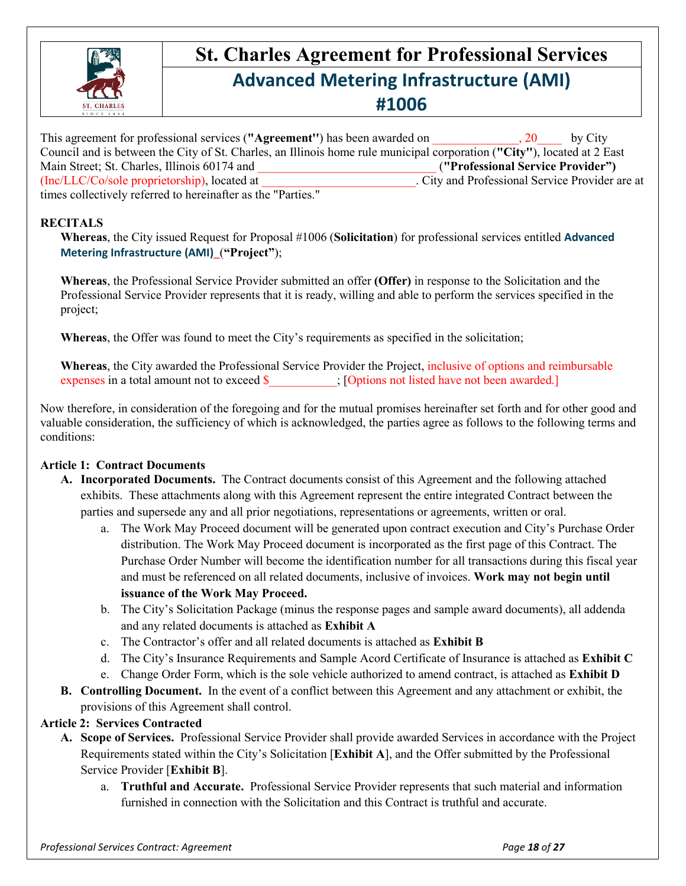

# **St. Charles Agreement for Professional Services Advanced Metering Infrastructure (AMI) #1006**

| This agreement for professional services ("Agreement") has been awarded on                                              | by City<br>$\cdot$ 20                           |
|-------------------------------------------------------------------------------------------------------------------------|-------------------------------------------------|
| Council and is between the City of St. Charles, an Illinois home rule municipal corporation ("City"), located at 2 East |                                                 |
| Main Street; St. Charles, Illinois 60174 and                                                                            | ("Professional Service Provider")               |
| (Inc/LLC/Co/sole proprietorship), located at                                                                            | . City and Professional Service Provider are at |
| times collectively referred to hereinafter as the "Parties."                                                            |                                                 |

### **RECITALS**

**Whereas**, the City issued Request for Proposal #1006 (**Solicitation**) for professional services entitled **Advanced Metering Infrastructure (AMI)**\_(**"Project"**);

**Whereas**, the Professional Service Provider submitted an offer **(Offer)** in response to the Solicitation and the Professional Service Provider represents that it is ready, willing and able to perform the services specified in the project;

**Whereas**, the Offer was found to meet the City's requirements as specified in the solicitation;

**Whereas**, the City awarded the Professional Service Provider the Project, inclusive of options and reimbursable expenses in a total amount not to exceed \$  $\blacksquare$ ; [Options not listed have not been awarded.]

Now therefore, in consideration of the foregoing and for the mutual promises hereinafter set forth and for other good and valuable consideration, the sufficiency of which is acknowledged, the parties agree as follows to the following terms and conditions:

# **Article 1: Contract Documents**

- **A. Incorporated Documents.** The Contract documents consist of this Agreement and the following attached exhibits. These attachments along with this Agreement represent the entire integrated Contract between the parties and supersede any and all prior negotiations, representations or agreements, written or oral.
	- a. The Work May Proceed document will be generated upon contract execution and City's Purchase Order distribution. The Work May Proceed document is incorporated as the first page of this Contract. The Purchase Order Number will become the identification number for all transactions during this fiscal year and must be referenced on all related documents, inclusive of invoices. **Work may not begin until issuance of the Work May Proceed.**
	- b. The City's Solicitation Package (minus the response pages and sample award documents), all addenda and any related documents is attached as **Exhibit A**
	- c. The Contractor's offer and all related documents is attached as **Exhibit B**
	- d. The City's Insurance Requirements and Sample Acord Certificate of Insurance is attached as **Exhibit C**
	- e. Change Order Form, which is the sole vehicle authorized to amend contract, is attached as **Exhibit D**
- **B. Controlling Document.** In the event of a conflict between this Agreement and any attachment or exhibit, the provisions of this Agreement shall control.

# **Article 2: Services Contracted**

- **A. Scope of Services.** Professional Service Provider shall provide awarded Services in accordance with the Project Requirements stated within the City's Solicitation [**Exhibit A**], and the Offer submitted by the Professional Service Provider [**Exhibit B**].
	- a. **Truthful and Accurate.** Professional Service Provider represents that such material and information furnished in connection with the Solicitation and this Contract is truthful and accurate.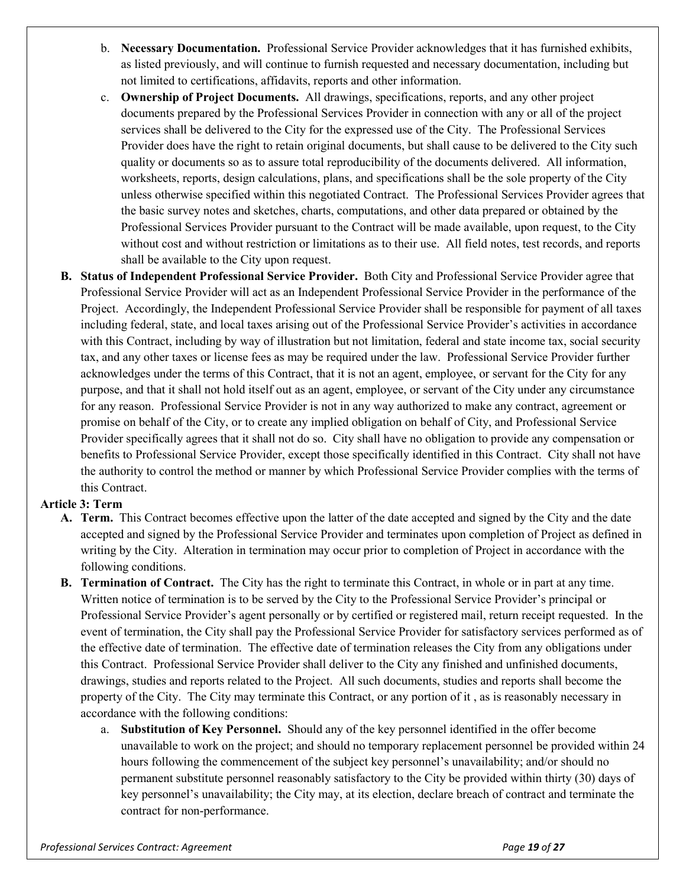- b. **Necessary Documentation.** Professional Service Provider acknowledges that it has furnished exhibits, as listed previously, and will continue to furnish requested and necessary documentation, including but not limited to certifications, affidavits, reports and other information.
- c. **Ownership of Project Documents.** All drawings, specifications, reports, and any other project documents prepared by the Professional Services Provider in connection with any or all of the project services shall be delivered to the City for the expressed use of the City. The Professional Services Provider does have the right to retain original documents, but shall cause to be delivered to the City such quality or documents so as to assure total reproducibility of the documents delivered. All information, worksheets, reports, design calculations, plans, and specifications shall be the sole property of the City unless otherwise specified within this negotiated Contract. The Professional Services Provider agrees that the basic survey notes and sketches, charts, computations, and other data prepared or obtained by the Professional Services Provider pursuant to the Contract will be made available, upon request, to the City without cost and without restriction or limitations as to their use. All field notes, test records, and reports shall be available to the City upon request.
- **B. Status of Independent Professional Service Provider.** Both City and Professional Service Provider agree that Professional Service Provider will act as an Independent Professional Service Provider in the performance of the Project. Accordingly, the Independent Professional Service Provider shall be responsible for payment of all taxes including federal, state, and local taxes arising out of the Professional Service Provider's activities in accordance with this Contract, including by way of illustration but not limitation, federal and state income tax, social security tax, and any other taxes or license fees as may be required under the law. Professional Service Provider further acknowledges under the terms of this Contract, that it is not an agent, employee, or servant for the City for any purpose, and that it shall not hold itself out as an agent, employee, or servant of the City under any circumstance for any reason. Professional Service Provider is not in any way authorized to make any contract, agreement or promise on behalf of the City, or to create any implied obligation on behalf of City, and Professional Service Provider specifically agrees that it shall not do so. City shall have no obligation to provide any compensation or benefits to Professional Service Provider, except those specifically identified in this Contract. City shall not have the authority to control the method or manner by which Professional Service Provider complies with the terms of this Contract.

# **Article 3: Term**

- **A. Term.** This Contract becomes effective upon the latter of the date accepted and signed by the City and the date accepted and signed by the Professional Service Provider and terminates upon completion of Project as defined in writing by the City. Alteration in termination may occur prior to completion of Project in accordance with the following conditions.
- **B. Termination of Contract.** The City has the right to terminate this Contract, in whole or in part at any time. Written notice of termination is to be served by the City to the Professional Service Provider's principal or Professional Service Provider's agent personally or by certified or registered mail, return receipt requested. In the event of termination, the City shall pay the Professional Service Provider for satisfactory services performed as of the effective date of termination. The effective date of termination releases the City from any obligations under this Contract. Professional Service Provider shall deliver to the City any finished and unfinished documents, drawings, studies and reports related to the Project. All such documents, studies and reports shall become the property of the City. The City may terminate this Contract, or any portion of it , as is reasonably necessary in accordance with the following conditions:
	- a. **Substitution of Key Personnel.** Should any of the key personnel identified in the offer become unavailable to work on the project; and should no temporary replacement personnel be provided within 24 hours following the commencement of the subject key personnel's unavailability; and/or should no permanent substitute personnel reasonably satisfactory to the City be provided within thirty (30) days of key personnel's unavailability; the City may, at its election, declare breach of contract and terminate the contract for non-performance.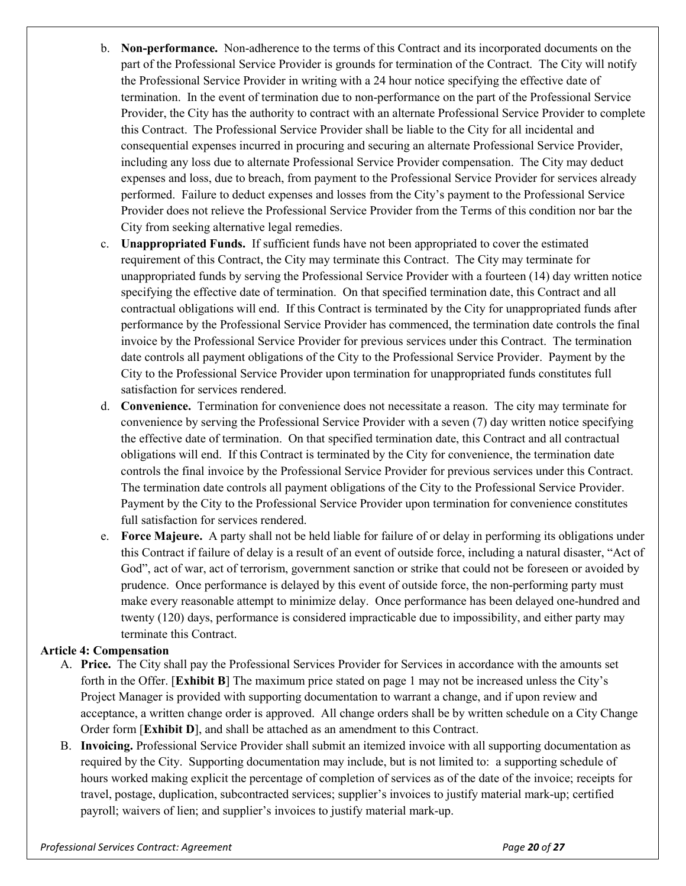- b. **Non-performance.** Non-adherence to the terms of this Contract and its incorporated documents on the part of the Professional Service Provider is grounds for termination of the Contract. The City will notify the Professional Service Provider in writing with a 24 hour notice specifying the effective date of termination. In the event of termination due to non-performance on the part of the Professional Service Provider, the City has the authority to contract with an alternate Professional Service Provider to complete this Contract. The Professional Service Provider shall be liable to the City for all incidental and consequential expenses incurred in procuring and securing an alternate Professional Service Provider, including any loss due to alternate Professional Service Provider compensation. The City may deduct expenses and loss, due to breach, from payment to the Professional Service Provider for services already performed. Failure to deduct expenses and losses from the City's payment to the Professional Service Provider does not relieve the Professional Service Provider from the Terms of this condition nor bar the City from seeking alternative legal remedies.
- c. **Unappropriated Funds.** If sufficient funds have not been appropriated to cover the estimated requirement of this Contract, the City may terminate this Contract. The City may terminate for unappropriated funds by serving the Professional Service Provider with a fourteen (14) day written notice specifying the effective date of termination. On that specified termination date, this Contract and all contractual obligations will end. If this Contract is terminated by the City for unappropriated funds after performance by the Professional Service Provider has commenced, the termination date controls the final invoice by the Professional Service Provider for previous services under this Contract. The termination date controls all payment obligations of the City to the Professional Service Provider. Payment by the City to the Professional Service Provider upon termination for unappropriated funds constitutes full satisfaction for services rendered.
- d. **Convenience.** Termination for convenience does not necessitate a reason. The city may terminate for convenience by serving the Professional Service Provider with a seven (7) day written notice specifying the effective date of termination. On that specified termination date, this Contract and all contractual obligations will end. If this Contract is terminated by the City for convenience, the termination date controls the final invoice by the Professional Service Provider for previous services under this Contract. The termination date controls all payment obligations of the City to the Professional Service Provider. Payment by the City to the Professional Service Provider upon termination for convenience constitutes full satisfaction for services rendered.
- e. **Force Majeure.** A party shall not be held liable for failure of or delay in performing its obligations under this Contract if failure of delay is a result of an event of outside force, including a natural disaster, "Act of God", act of war, act of terrorism, government sanction or strike that could not be foreseen or avoided by prudence. Once performance is delayed by this event of outside force, the non-performing party must make every reasonable attempt to minimize delay. Once performance has been delayed one-hundred and twenty (120) days, performance is considered impracticable due to impossibility, and either party may terminate this Contract.

# **Article 4: Compensation**

- A. **Price.** The City shall pay the Professional Services Provider for Services in accordance with the amounts set forth in the Offer. [**Exhibit B**] The maximum price stated on page 1 may not be increased unless the City's Project Manager is provided with supporting documentation to warrant a change, and if upon review and acceptance, a written change order is approved. All change orders shall be by written schedule on a City Change Order form [**Exhibit D**], and shall be attached as an amendment to this Contract.
- B. **Invoicing.** Professional Service Provider shall submit an itemized invoice with all supporting documentation as required by the City. Supporting documentation may include, but is not limited to: a supporting schedule of hours worked making explicit the percentage of completion of services as of the date of the invoice; receipts for travel, postage, duplication, subcontracted services; supplier's invoices to justify material mark-up; certified payroll; waivers of lien; and supplier's invoices to justify material mark-up.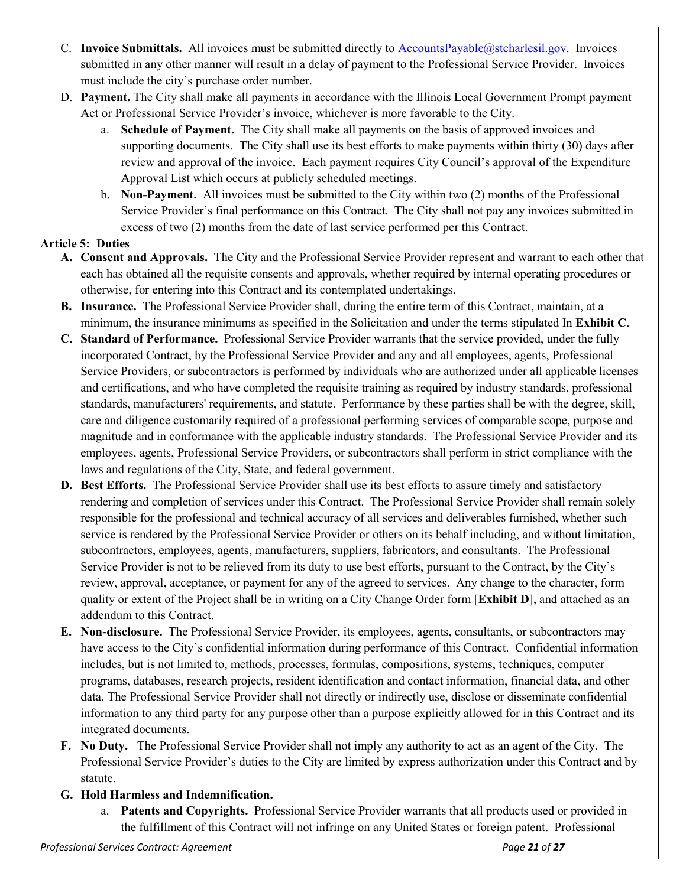- C. **Invoice Submittals.** All invoices must be submitted directly to [AccountsPayable@stcharlesil.gov.](mailto:AccountsPayable@stcharlesil.gov) Invoices submitted in any other manner will result in a delay of payment to the Professional Service Provider. Invoices must include the city's purchase order number.
- D. **Payment.** The City shall make all payments in accordance with the Illinois Local Government Prompt payment Act or Professional Service Provider's invoice, whichever is more favorable to the City.
	- a. **Schedule of Payment.** The City shall make all payments on the basis of approved invoices and supporting documents. The City shall use its best efforts to make payments within thirty (30) days after review and approval of the invoice. Each payment requires City Council's approval of the Expenditure Approval List which occurs at publicly scheduled meetings.
	- b. **Non-Payment.** All invoices must be submitted to the City within two (2) months of the Professional Service Provider's final performance on this Contract. The City shall not pay any invoices submitted in excess of two (2) months from the date of last service performed per this Contract.

# **Article 5: Duties**

- **A. Consent and Approvals.** The City and the Professional Service Provider represent and warrant to each other that each has obtained all the requisite consents and approvals, whether required by internal operating procedures or otherwise, for entering into this Contract and its contemplated undertakings.
- **B. Insurance.** The Professional Service Provider shall, during the entire term of this Contract, maintain, at a minimum, the insurance minimums as specified in the Solicitation and under the terms stipulated In **Exhibit C**.
- **C. Standard of Performance.** Professional Service Provider warrants that the service provided, under the fully incorporated Contract, by the Professional Service Provider and any and all employees, agents, Professional Service Providers, or subcontractors is performed by individuals who are authorized under all applicable licenses and certifications, and who have completed the requisite training as required by industry standards, professional standards, manufacturers' requirements, and statute. Performance by these parties shall be with the degree, skill, care and diligence customarily required of a professional performing services of comparable scope, purpose and magnitude and in conformance with the applicable industry standards. The Professional Service Provider and its employees, agents, Professional Service Providers, or subcontractors shall perform in strict compliance with the laws and regulations of the City, State, and federal government.
- **D. Best Efforts.** The Professional Service Provider shall use its best efforts to assure timely and satisfactory rendering and completion of services under this Contract. The Professional Service Provider shall remain solely responsible for the professional and technical accuracy of all services and deliverables furnished, whether such service is rendered by the Professional Service Provider or others on its behalf including, and without limitation, subcontractors, employees, agents, manufacturers, suppliers, fabricators, and consultants. The Professional Service Provider is not to be relieved from its duty to use best efforts, pursuant to the Contract, by the City's review, approval, acceptance, or payment for any of the agreed to services. Any change to the character, form quality or extent of the Project shall be in writing on a City Change Order form [**Exhibit D**], and attached as an addendum to this Contract.
- **E. Non-disclosure.** The Professional Service Provider, its employees, agents, consultants, or subcontractors may have access to the City's confidential information during performance of this Contract. Confidential information includes, but is not limited to, methods, processes, formulas, compositions, systems, techniques, computer programs, databases, research projects, resident identification and contact information, financial data, and other data. The Professional Service Provider shall not directly or indirectly use, disclose or disseminate confidential information to any third party for any purpose other than a purpose explicitly allowed for in this Contract and its integrated documents.
- **F. No Duty.** The Professional Service Provider shall not imply any authority to act as an agent of the City. The Professional Service Provider's duties to the City are limited by express authorization under this Contract and by statute.
- **G. Hold Harmless and Indemnification.**
	- a. **Patents and Copyrights.** Professional Service Provider warrants that all products used or provided in the fulfillment of this Contract will not infringe on any United States or foreign patent. Professional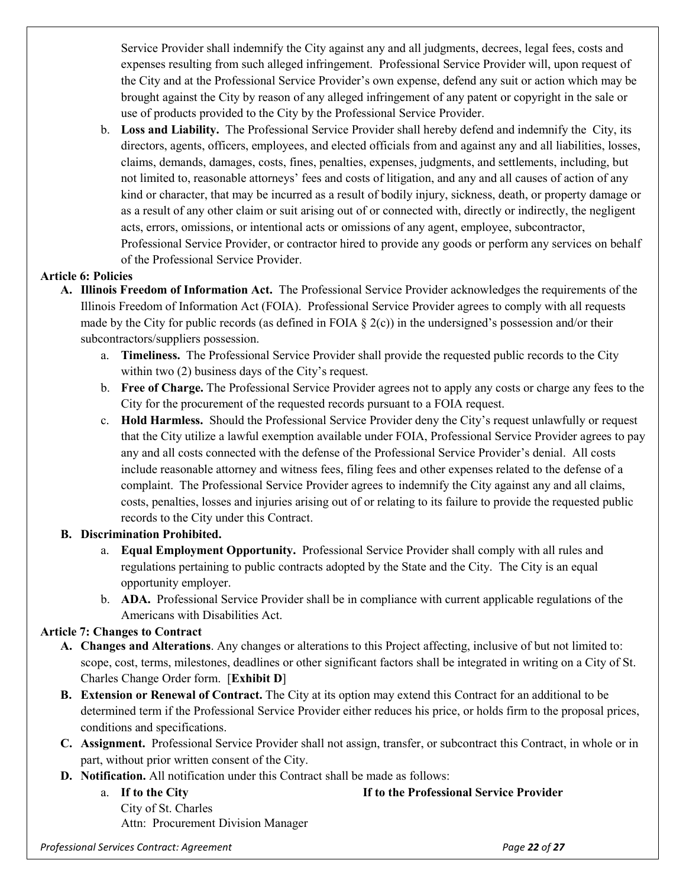Service Provider shall indemnify the City against any and all judgments, decrees, legal fees, costs and expenses resulting from such alleged infringement. Professional Service Provider will, upon request of the City and at the Professional Service Provider's own expense, defend any suit or action which may be brought against the City by reason of any alleged infringement of any patent or copyright in the sale or use of products provided to the City by the Professional Service Provider.

b. **Loss and Liability.** The Professional Service Provider shall hereby defend and indemnify the City, its directors, agents, officers, employees, and elected officials from and against any and all liabilities, losses, claims, demands, damages, costs, fines, penalties, expenses, judgments, and settlements, including, but not limited to, reasonable attorneys' fees and costs of litigation, and any and all causes of action of any kind or character, that may be incurred as a result of bodily injury, sickness, death, or property damage or as a result of any other claim or suit arising out of or connected with, directly or indirectly, the negligent acts, errors, omissions, or intentional acts or omissions of any agent, employee, subcontractor, Professional Service Provider, or contractor hired to provide any goods or perform any services on behalf of the Professional Service Provider.

# **Article 6: Policies**

- **A. Illinois Freedom of Information Act.** The Professional Service Provider acknowledges the requirements of the Illinois Freedom of Information Act (FOIA). Professional Service Provider agrees to comply with all requests made by the City for public records (as defined in FOIA  $\S$  2(c)) in the undersigned's possession and/or their subcontractors/suppliers possession.
	- a. **Timeliness.** The Professional Service Provider shall provide the requested public records to the City within two (2) business days of the City's request.
	- b. **Free of Charge.** The Professional Service Provider agrees not to apply any costs or charge any fees to the City for the procurement of the requested records pursuant to a FOIA request.
	- c. **Hold Harmless.** Should the Professional Service Provider deny the City's request unlawfully or request that the City utilize a lawful exemption available under FOIA, Professional Service Provider agrees to pay any and all costs connected with the defense of the Professional Service Provider's denial. All costs include reasonable attorney and witness fees, filing fees and other expenses related to the defense of a complaint. The Professional Service Provider agrees to indemnify the City against any and all claims, costs, penalties, losses and injuries arising out of or relating to its failure to provide the requested public records to the City under this Contract.

# **B. Discrimination Prohibited.**

- a. **Equal Employment Opportunity.** Professional Service Provider shall comply with all rules and regulations pertaining to public contracts adopted by the State and the City. The City is an equal opportunity employer.
- b. **ADA.** Professional Service Provider shall be in compliance with current applicable regulations of the Americans with Disabilities Act.

# **Article 7: Changes to Contract**

- **A. Changes and Alterations**. Any changes or alterations to this Project affecting, inclusive of but not limited to: scope, cost, terms, milestones, deadlines or other significant factors shall be integrated in writing on a City of St. Charles Change Order form. [**Exhibit D**]
- **B. Extension or Renewal of Contract.** The City at its option may extend this Contract for an additional to be determined term if the Professional Service Provider either reduces his price, or holds firm to the proposal prices, conditions and specifications.
- **C. Assignment.** Professional Service Provider shall not assign, transfer, or subcontract this Contract, in whole or in part, without prior written consent of the City.
- **D. Notification.** All notification under this Contract shall be made as follows:
	- a. **If to the City If to the Professional Service Provider** City of St. Charles Attn: Procurement Division Manager

*Professional Services Contract: Agreement Page 22 of 27*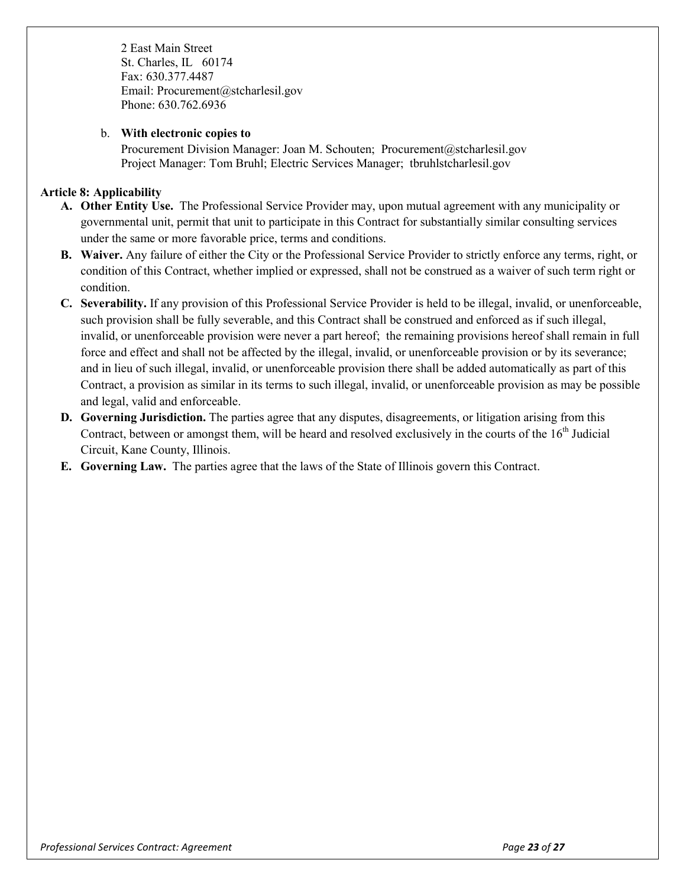2 East Main Street St. Charles, IL 60174 Fax: 630.377.4487 Email: Procurement@stcharlesil.gov Phone: 630.762.6936

#### b. **With electronic copies to**

Procurement Division Manager: Joan M. Schouten; Procurement@stcharlesil.gov Project Manager: Tom Bruhl; Electric Services Manager; tbruhlstcharlesil.gov

# **Article 8: Applicability**

- **A. Other Entity Use.** The Professional Service Provider may, upon mutual agreement with any municipality or governmental unit, permit that unit to participate in this Contract for substantially similar consulting services under the same or more favorable price, terms and conditions.
- **B. Waiver.** Any failure of either the City or the Professional Service Provider to strictly enforce any terms, right, or condition of this Contract, whether implied or expressed, shall not be construed as a waiver of such term right or condition.
- **C. Severability.** If any provision of this Professional Service Provider is held to be illegal, invalid, or unenforceable, such provision shall be fully severable, and this Contract shall be construed and enforced as if such illegal, invalid, or unenforceable provision were never a part hereof; the remaining provisions hereof shall remain in full force and effect and shall not be affected by the illegal, invalid, or unenforceable provision or by its severance; and in lieu of such illegal, invalid, or unenforceable provision there shall be added automatically as part of this Contract, a provision as similar in its terms to such illegal, invalid, or unenforceable provision as may be possible and legal, valid and enforceable.
- **D. Governing Jurisdiction.** The parties agree that any disputes, disagreements, or litigation arising from this Contract, between or amongst them, will be heard and resolved exclusively in the courts of the 16<sup>th</sup> Judicial Circuit, Kane County, Illinois.
- **E. Governing Law.** The parties agree that the laws of the State of Illinois govern this Contract.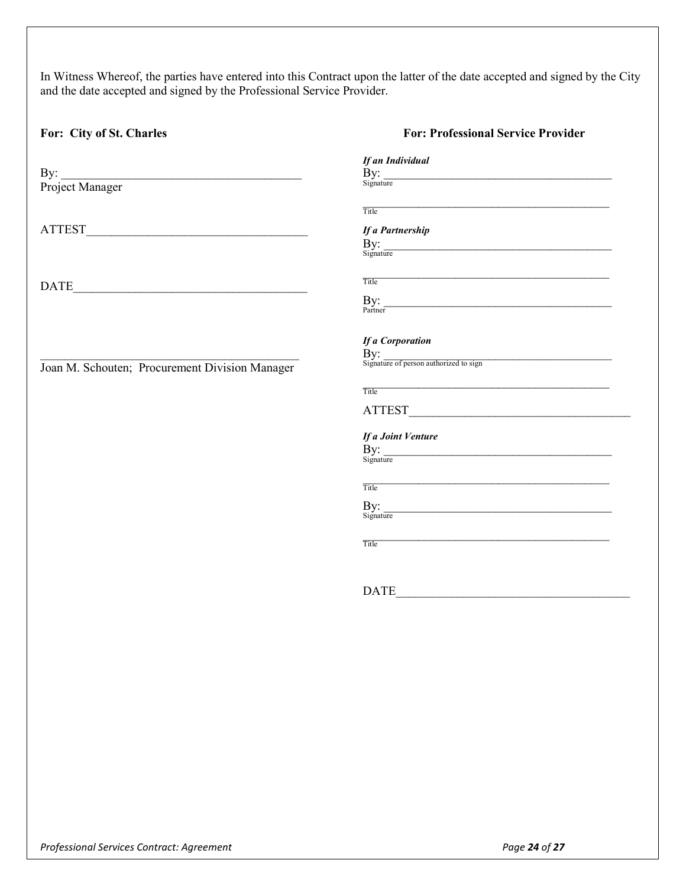In Witness Whereof, the parties have entered into this Contract upon the latter of the date accepted and signed by the City and the date accepted and signed by the Professional Service Provider.

| For: City of St. Charles                                                            | <b>For: Professional Service Provider</b>                                                                                                                                                                                                                                                                                     |
|-------------------------------------------------------------------------------------|-------------------------------------------------------------------------------------------------------------------------------------------------------------------------------------------------------------------------------------------------------------------------------------------------------------------------------|
| By: Project Manager                                                                 | If an Individual<br>$\begin{minipage}{.4\linewidth} \begin{tabular}{l} \bf By: \\ \bf Signature \end{tabular} \end{minipage}$                                                                                                                                                                                                 |
|                                                                                     | Title<br>If a Partnership<br>$\frac{By:}{Signature}$                                                                                                                                                                                                                                                                          |
| $\begin{tabular}{ c c c } \hline \multicolumn{3}{ c }{\textbf{DATE}} \end{tabular}$ | Title <b>The Community of the Community Community</b> Community Community Community Community Community Community Community Community Community Community Community Community Community Community Community Community Community Com<br>$\frac{\text{By:}}{\text{Patterner}}$                                                  |
| Joan M. Schouten; Procurement Division Manager                                      | <b>If a Corporation</b><br>$\overline{B}$ y:<br>Signature of person authorized to sign<br>Title <b>The Community of the Community Community</b> and the Community of the Community of the Community of the Community of the Community of the Community of the Community of the Community of the Community of the Community of |
|                                                                                     | If a Joint Venture<br>By: signature                                                                                                                                                                                                                                                                                           |
|                                                                                     | Title <b>The Community of the Community Community</b> of the Community of the Community of the Community of the Community of the Community of the Community of the Community of the Community of the Community of the Community of<br>$\frac{By:}{Signature}$                                                                 |
|                                                                                     | Title                                                                                                                                                                                                                                                                                                                         |
|                                                                                     |                                                                                                                                                                                                                                                                                                                               |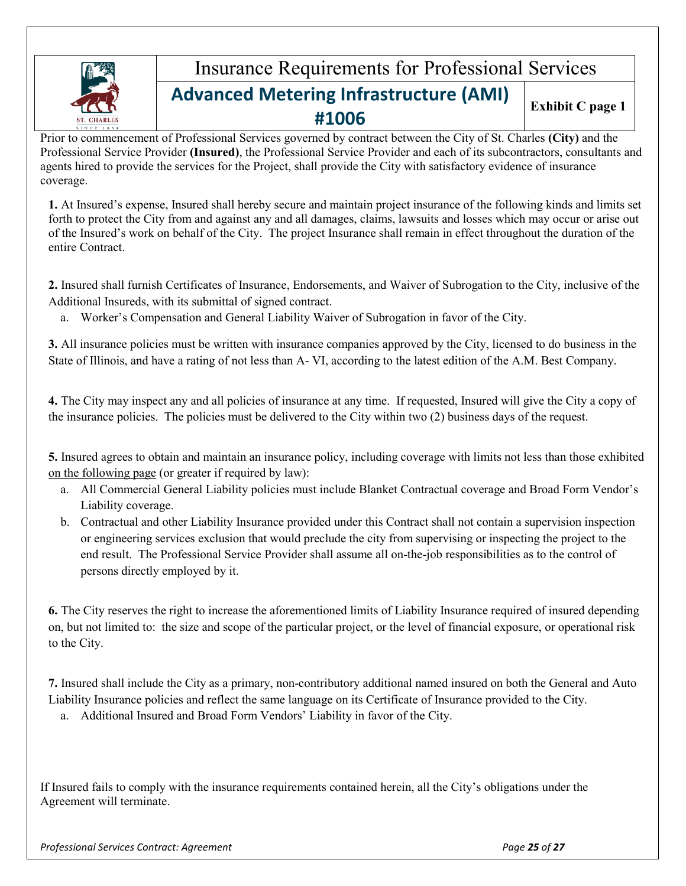

# Insurance Requirements for Professional Services **Advanced Metering Infrastructure (AMI) #1006**

**Exhibit C page 1**

Prior to commencement of Professional Services governed by contract between the City of St. Charles **(City)** and the Professional Service Provider **(Insured)**, the Professional Service Provider and each of its subcontractors, consultants and agents hired to provide the services for the Project, shall provide the City with satisfactory evidence of insurance coverage.

**1.** At Insured's expense, Insured shall hereby secure and maintain project insurance of the following kinds and limits set forth to protect the City from and against any and all damages, claims, lawsuits and losses which may occur or arise out of the Insured's work on behalf of the City. The project Insurance shall remain in effect throughout the duration of the entire Contract.

**2.** Insured shall furnish Certificates of Insurance, Endorsements, and Waiver of Subrogation to the City, inclusive of the Additional Insureds, with its submittal of signed contract.

a. Worker's Compensation and General Liability Waiver of Subrogation in favor of the City.

**3.** All insurance policies must be written with insurance companies approved by the City, licensed to do business in the State of Illinois, and have a rating of not less than A- VI, according to the latest edition of the A.M. Best Company.

**4.** The City may inspect any and all policies of insurance at any time. If requested, Insured will give the City a copy of the insurance policies. The policies must be delivered to the City within two (2) business days of the request.

**5.** Insured agrees to obtain and maintain an insurance policy, including coverage with limits not less than those exhibited on the following page (or greater if required by law):

- a. All Commercial General Liability policies must include Blanket Contractual coverage and Broad Form Vendor's Liability coverage.
- b. Contractual and other Liability Insurance provided under this Contract shall not contain a supervision inspection or engineering services exclusion that would preclude the city from supervising or inspecting the project to the end result. The Professional Service Provider shall assume all on-the-job responsibilities as to the control of persons directly employed by it.

**6.** The City reserves the right to increase the aforementioned limits of Liability Insurance required of insured depending on, but not limited to: the size and scope of the particular project, or the level of financial exposure, or operational risk to the City.

**7.** Insured shall include the City as a primary, non-contributory additional named insured on both the General and Auto Liability Insurance policies and reflect the same language on its Certificate of Insurance provided to the City.

a. Additional Insured and Broad Form Vendors' Liability in favor of the City.

If Insured fails to comply with the insurance requirements contained herein, all the City's obligations under the Agreement will terminate.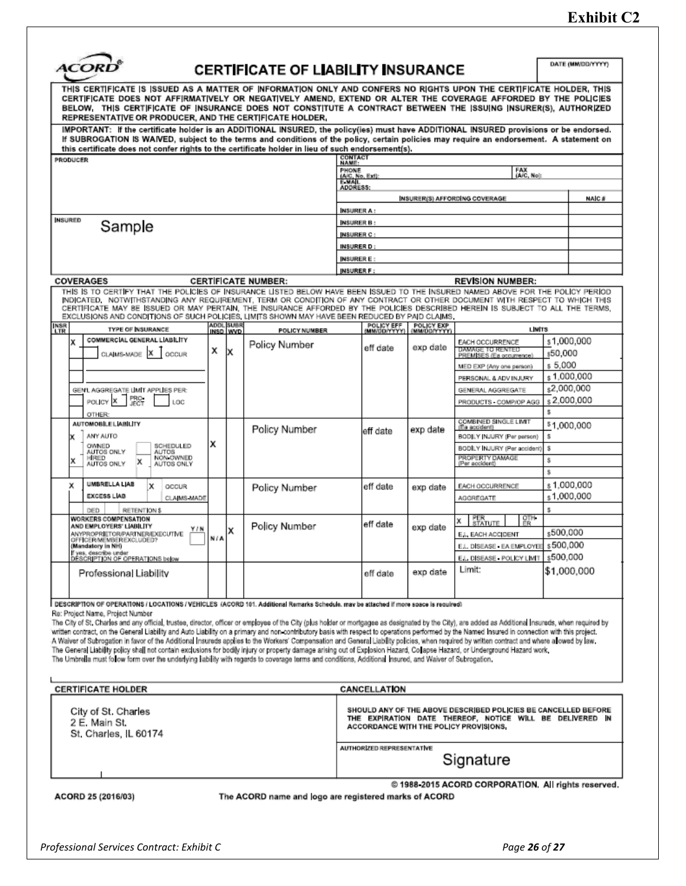# **Exhibit C2**

|                                                                                                                                                                                                                                                                                                                                                                                                                                                                                                                                                                                                                                                                                                        |     |                  | <b>CERTIFICATE OF LIABILITY INSURANCE</b> |                          |                            |                            |                                                                 | DATE (MM/DD/YYYY) |              |
|--------------------------------------------------------------------------------------------------------------------------------------------------------------------------------------------------------------------------------------------------------------------------------------------------------------------------------------------------------------------------------------------------------------------------------------------------------------------------------------------------------------------------------------------------------------------------------------------------------------------------------------------------------------------------------------------------------|-----|------------------|-------------------------------------------|--------------------------|----------------------------|----------------------------|-----------------------------------------------------------------|-------------------|--------------|
| THIS CERTIFICATE IS ISSUED AS A MATTER OF INFORMATION ONLY AND CONFERS NO RIGHTS UPON THE CERTIFICATE HOLDER, THIS<br>CERTIFICATE DOES NOT AFFIRMATIVELY OR NEGATIVELY AMEND, EXTEND OR ALTER THE COVERAGE AFFORDED BY THE POLICIES<br>BELOW, THIS CERTIFICATE OF INSURANCE DOES NOT CONSTITUTE A CONTRACT BETWEEN THE ISSUING INSURER(S), AUTHORIZED<br>REPRESENTATIVE OR PRODUCER, AND THE CERTIFICATE HOLDER,<br>IMPORTANT: If the certificate holder is an ADDITIONAL INSURED, the policy(ies) must have ADDITIONAL INSURED provisions or be endorsed.<br>If SUBROGATION IS WAIVED, subject to the terms and conditions of the policy, certain policies may require an endorsement. A statement on |     |                  |                                           |                          |                            |                            |                                                                 |                   |              |
| this certificate does not confer rights to the certificate holder in lieu of such endorsement(s).<br><b>PRODUCER</b>                                                                                                                                                                                                                                                                                                                                                                                                                                                                                                                                                                                   |     |                  |                                           | <b>CONTACT</b><br>NAME:  |                            |                            |                                                                 |                   |              |
|                                                                                                                                                                                                                                                                                                                                                                                                                                                                                                                                                                                                                                                                                                        |     |                  |                                           | <b>PHONE</b>             |                            |                            | FAX<br>(A/C, No):                                               |                   |              |
|                                                                                                                                                                                                                                                                                                                                                                                                                                                                                                                                                                                                                                                                                                        |     |                  |                                           | (A/C, No. Ext)<br>E-MAIL |                            |                            |                                                                 |                   |              |
|                                                                                                                                                                                                                                                                                                                                                                                                                                                                                                                                                                                                                                                                                                        |     |                  |                                           | ADDRESS:                 |                            |                            | <b>INSURER(S) AFFORDING COVERAGE</b>                            |                   | <b>NAIC#</b> |
|                                                                                                                                                                                                                                                                                                                                                                                                                                                                                                                                                                                                                                                                                                        |     |                  |                                           | <b>NSURER A:</b>         |                            |                            |                                                                 |                   |              |
| <b>NSURED</b>                                                                                                                                                                                                                                                                                                                                                                                                                                                                                                                                                                                                                                                                                          |     |                  |                                           | <b>NSURER B:</b>         |                            |                            |                                                                 |                   |              |
| Sample                                                                                                                                                                                                                                                                                                                                                                                                                                                                                                                                                                                                                                                                                                 |     |                  |                                           | <b>INSURER C:</b>        |                            |                            |                                                                 |                   |              |
|                                                                                                                                                                                                                                                                                                                                                                                                                                                                                                                                                                                                                                                                                                        |     |                  |                                           | INSURER D:               |                            |                            |                                                                 |                   |              |
|                                                                                                                                                                                                                                                                                                                                                                                                                                                                                                                                                                                                                                                                                                        |     |                  |                                           | <b>NSURER E:</b>         |                            |                            |                                                                 |                   |              |
|                                                                                                                                                                                                                                                                                                                                                                                                                                                                                                                                                                                                                                                                                                        |     |                  |                                           | <b>NSURER F:</b>         |                            |                            |                                                                 |                   |              |
| COVERAGES<br>THIS IS TO CERTIFY THAT THE POLICIES OF INSURANCE LISTED BELOW HAVE BEEN ISSUED TO THE INSURED NAMED ABOVE FOR THE POLICY PERIOD                                                                                                                                                                                                                                                                                                                                                                                                                                                                                                                                                          |     |                  | <b>CERTIFICATE NUMBER:</b>                |                          |                            |                            | <b>REVISION NUMBER:</b>                                         |                   |              |
| INDICATED, NOTWITHSTANDING ANY REQUIREMENT, TERM OR CONDITION OF ANY CONTRACT OR OTHER DOCUMENT WITH RESPECT TO WHICH THIS<br>CERTIFICATE MAY BE ISSUED OR MAY PERTAIN, THE INSURANCE AFFORDED BY THE POLICIES DESCRIBED HEREIN IS SUBJECT TO ALL THE TERMS.<br>EXCLUSIONS AND CONDITIONS OF SUCH POLICIES, LIMITS SHOWN MAY HAVE BEEN REDUCED BY PAID CLAIMS.<br><b>INSR</b><br>LTR<br><b>TYPE OF INSURANCE</b>                                                                                                                                                                                                                                                                                       |     | <b>ADDL SUBR</b> |                                           |                          | POLICY EFF<br>(MM/DD/YYYY) | POLICY EXP<br>(MM/DD/YYYY) | <b>LIMITS</b>                                                   |                   |              |
| COMMERCIAL GENERAL LIABILITY<br>x                                                                                                                                                                                                                                                                                                                                                                                                                                                                                                                                                                                                                                                                      |     | INSD WVD         | POLICY NUMBER                             |                          |                            |                            |                                                                 | s1,000,000        |              |
| ×<br>CLAIMS-MADE<br>OCCUR                                                                                                                                                                                                                                                                                                                                                                                                                                                                                                                                                                                                                                                                              | х   |                  | Policy Number                             |                          | eff date                   | exp date                   | EACH OCCURRENCE<br>DAMAGE TO RENTED<br>PREMISES (Ea occurrence) | s50,000           |              |
|                                                                                                                                                                                                                                                                                                                                                                                                                                                                                                                                                                                                                                                                                                        |     |                  |                                           |                          |                            |                            | MED EXP (Any one person)                                        | s 5.000           |              |
|                                                                                                                                                                                                                                                                                                                                                                                                                                                                                                                                                                                                                                                                                                        |     |                  |                                           |                          |                            |                            | PERSONAL & ADV INJURY                                           | s 1,000,000       |              |
| GEN'L AGGREGATE LIMIT APPLIES PER:                                                                                                                                                                                                                                                                                                                                                                                                                                                                                                                                                                                                                                                                     |     |                  |                                           |                          |                            |                            | GENERAL AGGREGATE                                               | s2,000,000        |              |
| PRO-<br>JECT<br>POLICY X<br>LOC                                                                                                                                                                                                                                                                                                                                                                                                                                                                                                                                                                                                                                                                        |     |                  |                                           |                          |                            |                            | PRODUCTS COMP/OP AGG                                            | s 2,000,000       |              |
| OTHER:                                                                                                                                                                                                                                                                                                                                                                                                                                                                                                                                                                                                                                                                                                 |     |                  |                                           |                          |                            |                            | COMBINED SINGLE LIMIT                                           | s                 |              |
| <b>AUTOMOBILE LIABILITY</b>                                                                                                                                                                                                                                                                                                                                                                                                                                                                                                                                                                                                                                                                            |     |                  | Policy Number                             |                          | eff date                   | exp date                   | (Es accident)                                                   | \$1,000,000       |              |
| ANY AUTO<br>OWNED<br>SCHEDULED                                                                                                                                                                                                                                                                                                                                                                                                                                                                                                                                                                                                                                                                         | x   |                  |                                           |                          |                            |                            | BODJLY INJURY (Per person)<br>BODILY INJURY (Per accident)      | s<br>s            |              |
| AUTOS ONLY<br><b>AUTOS</b><br>NON OWNED<br>HRED<br>x                                                                                                                                                                                                                                                                                                                                                                                                                                                                                                                                                                                                                                                   |     |                  |                                           |                          |                            |                            | PROPERTY DAMAGE<br>(Per accident)                               | \$                |              |
| x<br>AUTOS ONLY<br>AUTOS ONLY                                                                                                                                                                                                                                                                                                                                                                                                                                                                                                                                                                                                                                                                          |     |                  |                                           |                          |                            |                            |                                                                 | ŝ                 |              |
| UMBRELLA LIAB<br>х<br>x<br>OCCUR                                                                                                                                                                                                                                                                                                                                                                                                                                                                                                                                                                                                                                                                       |     |                  |                                           |                          | eff date                   | exp date                   | EACH OCCURRENCE                                                 | s 1,000,000       |              |
| <b>EXCESS LIAB</b><br>CLAIMS MADE                                                                                                                                                                                                                                                                                                                                                                                                                                                                                                                                                                                                                                                                      |     |                  | Policy Number                             |                          |                            |                            | AGGREGATE                                                       | s1,000,000        |              |
| RETENTION \$<br>DED                                                                                                                                                                                                                                                                                                                                                                                                                                                                                                                                                                                                                                                                                    |     |                  |                                           |                          |                            |                            |                                                                 | s                 |              |
| <b>WORKERS COMPENSATION</b><br>AND EMPLOYERS' LIABILITY                                                                                                                                                                                                                                                                                                                                                                                                                                                                                                                                                                                                                                                |     |                  | Policy Number                             |                          | eff date                   |                            | OTH-<br>ER<br>PER<br>STATUTE<br>x                               |                   |              |
| Y / N<br>ANYPROPRIETOR/PARTNER/EXECUTIVE<br>OFFICER/MEMBEREXCLUDED?                                                                                                                                                                                                                                                                                                                                                                                                                                                                                                                                                                                                                                    | N/A | x                |                                           |                          |                            | exp date                   | E.L. EACH ACCIDENT                                              | s500.000          |              |
| (Mandatory in NH)                                                                                                                                                                                                                                                                                                                                                                                                                                                                                                                                                                                                                                                                                      |     |                  |                                           |                          |                            |                            | E.L. DISEASE - EA EMPLOYEE                                      | s500,000          |              |
| If yes, describe under<br>DESCRIPTION OF OPERATIONS below                                                                                                                                                                                                                                                                                                                                                                                                                                                                                                                                                                                                                                              |     |                  |                                           |                          |                            |                            | E.L. DISEASE - POLICY LIMIT                                     | s500.000          |              |
|                                                                                                                                                                                                                                                                                                                                                                                                                                                                                                                                                                                                                                                                                                        |     |                  |                                           |                          | eff date                   | exp date                   | Limit:                                                          | \$1,000,000       |              |

Re: Project Name, Project Number

The City of St. Charles and any official, trustee, director, officer or employee of the City (plus holder or mortgagee as designated by the City), are added as Additional Insureds, when required by written contract, on the General Liability and Auto Liability on a primary and non-contributory basis with respect to operations performed by the Named Insured in connection with this project. A Waiver of Subregation in favor of the Additional Insureds applies to the Workers' Compensation and General Liability policies, when required by written contract and where allowed by law. The General Liability policy shall not contain exclusions for bodily injury or property damage arising out of Explosion Hazard, Collapse Hazard, or Underground Hazard work.<br>The Umbrella must follow form over the underlying

| <b>CERTIFICATE HOLDER</b>                                     | CANCELLATION                                                                                                                                                         |
|---------------------------------------------------------------|----------------------------------------------------------------------------------------------------------------------------------------------------------------------|
| City of St. Charles<br>2 E. Main St.<br>St. Charles, IL 60174 | SHOULD ANY OF THE ABOVE DESCRIBED POLICIES BE CANCELLED BEFORE<br>THE EXPIRATION DATE THEREOF, NOTICE WILL BE DELIVERED IN<br>ACCORDANCE WITH THE POLICY PROVISIONS. |
|                                                               | <b>AUTHORIZED REPRESENTATIVE</b><br>Signature                                                                                                                        |
|                                                               | @ 1988 2015 ACORD CORPORATION. All rights reserved.                                                                                                                  |

ACORD 25 (2016/03)

The ACORD name and logo are registered marks of ACORD